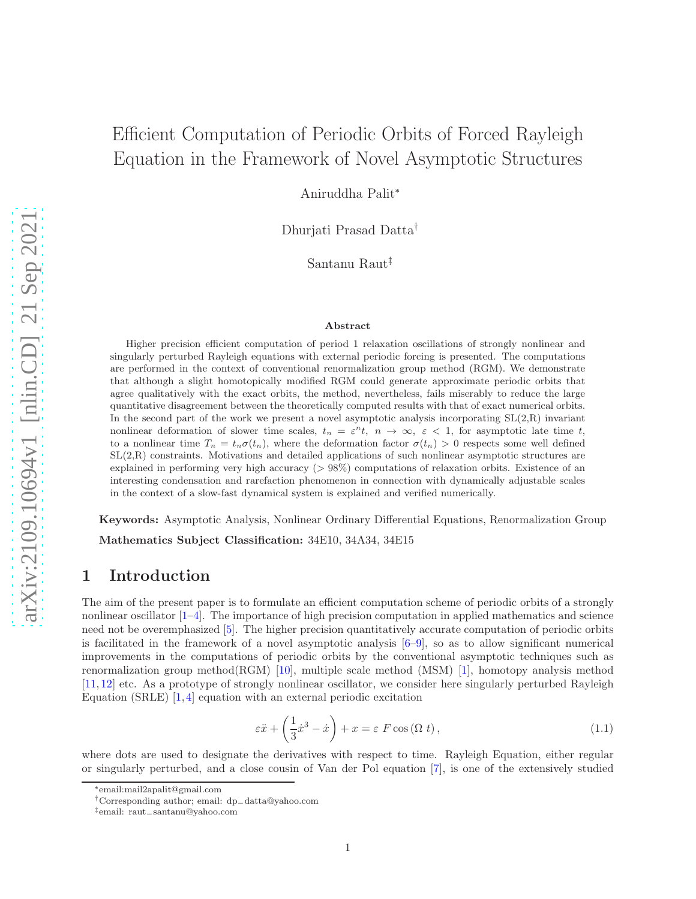# Efficient Computation of Periodic Orbits of Forced Rayleigh Equation in the Framework of Novel Asymptotic Structures

Aniruddha Palit<sup>∗</sup>

Dhurjati Prasad Datta†

Santanu Raut‡

#### Abstract

Higher precision efficient computation of period 1 relaxation oscillations of strongly nonlinear and singularly perturbed Rayleigh equations with external periodic forcing is presented. The computations are performed in the context of conventional renormalization group method (RGM). We demonstrate that although a slight homotopically modified RGM could generate approximate periodic orbits that agree qualitatively with the exact orbits, the method, nevertheless, fails miserably to reduce the large quantitative disagreement between the theoretically computed results with that of exact numerical orbits. In the second part of the work we present a novel asymptotic analysis incorporating  $SL(2,R)$  invariant nonlinear deformation of slower time scales,  $t_n = \varepsilon^n t$ ,  $n \to \infty$ ,  $\varepsilon < 1$ , for asymptotic late time t, to a nonlinear time  $T_n = t_n \sigma(t_n)$ , where the deformation factor  $\sigma(t_n) > 0$  respects some well defined SL(2,R) constraints. Motivations and detailed applications of such nonlinear asymptotic structures are explained in performing very high accuracy (> 98%) computations of relaxation orbits. Existence of an interesting condensation and rarefaction phenomenon in connection with dynamically adjustable scales in the context of a slow-fast dynamical system is explained and verified numerically.

Keywords: Asymptotic Analysis, Nonlinear Ordinary Differential Equations, Renormalization Group Mathematics Subject Classification: 34E10, 34A34, 34E15

# 1 Introduction

The aim of the present paper is to formulate an efficient computation scheme of periodic orbits of a strongly nonlinear oscillator [\[1](#page-26-0)[–4\]](#page-26-1). The importance of high precision computation in applied mathematics and science need not be overemphasized [\[5\]](#page-26-2). The higher precision quantitatively accurate computation of periodic orbits is facilitated in the framework of a novel asymptotic analysis  $[6-9]$ , so as to allow significant numerical improvements in the computations of periodic orbits by the conventional asymptotic techniques such as renormalization group method( $RGM$ ) [\[10\]](#page-26-5), multiple scale method ( $MSM$ ) [\[1\]](#page-26-0), homotopy analysis method [\[11,](#page-26-6) [12\]](#page-26-7) etc. As a prototype of strongly nonlinear oscillator, we consider here singularly perturbed Rayleigh Equation (SRLE) [\[1,](#page-26-0) [4\]](#page-26-1) equation with an external periodic excitation

<span id="page-0-0"></span>
$$
\varepsilon \ddot{x} + \left(\frac{1}{3}\dot{x}^3 - \dot{x}\right) + x = \varepsilon \ F \cos\left(\Omega \ t\right),\tag{1.1}
$$

where dots are used to designate the derivatives with respect to time. Rayleigh Equation, either regular or singularly perturbed, and a close cousin of Van der Pol equation [\[7\]](#page-26-8), is one of the extensively studied

<sup>∗</sup>email:mail2apalit@gmail.com

<sup>†</sup>Corresponding author; email: dp−datta@yahoo.com

<sup>‡</sup>email: raut−santanu@yahoo.com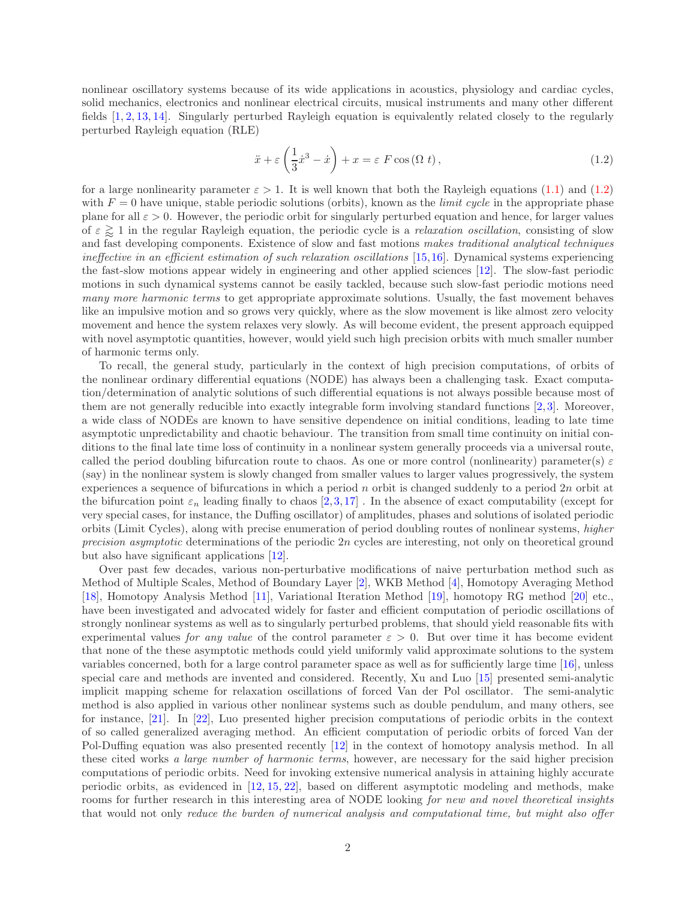nonlinear oscillatory systems because of its wide applications in acoustics, physiology and cardiac cycles, solid mechanics, electronics and nonlinear electrical circuits, musical instruments and many other different fields [\[1,](#page-26-0) [2,](#page-26-9) [13,](#page-26-10) [14\]](#page-26-11). Singularly perturbed Rayleigh equation is equivalently related closely to the regularly perturbed Rayleigh equation (RLE)

<span id="page-1-0"></span>
$$
\ddot{x} + \varepsilon \left(\frac{1}{3}\dot{x}^3 - \dot{x}\right) + x = \varepsilon F \cos\left(\Omega t\right),\tag{1.2}
$$

for a large nonlinearity parameter  $\varepsilon > 1$ . It is well known that both the Rayleigh equations [\(1.1\)](#page-0-0) and [\(1.2\)](#page-1-0) with  $F = 0$  have unique, stable periodic solutions (orbits), known as the *limit cycle* in the appropriate phase plane for all  $\varepsilon > 0$ . However, the periodic orbit for singularly perturbed equation and hence, for larger values of  $\varepsilon \gtrsim 1$  in the regular Rayleigh equation, the periodic cycle is a *relaxation oscillation*, consisting of slow and fast developing components. Existence of slow and fast motions makes traditional analytical techniques ineffective in an efficient estimation of such relaxation oscillations [\[15,](#page-26-12)[16\]](#page-26-13). Dynamical systems experiencing the fast-slow motions appear widely in engineering and other applied sciences [\[12\]](#page-26-7). The slow-fast periodic motions in such dynamical systems cannot be easily tackled, because such slow-fast periodic motions need many more harmonic terms to get appropriate approximate solutions. Usually, the fast movement behaves like an impulsive motion and so grows very quickly, where as the slow movement is like almost zero velocity movement and hence the system relaxes very slowly. As will become evident, the present approach equipped with novel asymptotic quantities, however, would yield such high precision orbits with much smaller number of harmonic terms only.

To recall, the general study, particularly in the context of high precision computations, of orbits of the nonlinear ordinary differential equations (NODE) has always been a challenging task. Exact computation/determination of analytic solutions of such differential equations is not always possible because most of them are not generally reducible into exactly integrable form involving standard functions [\[2,](#page-26-9) [3\]](#page-26-14). Moreover, a wide class of NODEs are known to have sensitive dependence on initial conditions, leading to late time asymptotic unpredictability and chaotic behaviour. The transition from small time continuity on initial conditions to the final late time loss of continuity in a nonlinear system generally proceeds via a universal route, called the period doubling bifurcation route to chaos. As one or more control (nonlinearity) parameter(s)  $\varepsilon$ (say) in the nonlinear system is slowly changed from smaller values to larger values progressively, the system experiences a sequence of bifurcations in which a period n orbit is changed suddenly to a period  $2n$  orbit at the bifurcation point  $\varepsilon_n$  leading finally to chaos [\[2,](#page-26-9)[3,](#page-26-14)[17\]](#page-27-0). In the absence of exact computability (except for very special cases, for instance, the Duffing oscillator) of amplitudes, phases and solutions of isolated periodic orbits (Limit Cycles), along with precise enumeration of period doubling routes of nonlinear systems, higher precision asymptotic determinations of the periodic  $2n$  cycles are interesting, not only on theoretical ground but also have significant applications [\[12\]](#page-26-7).

Over past few decades, various non-perturbative modifications of naive perturbation method such as Method of Multiple Scales, Method of Boundary Layer [\[2\]](#page-26-9), WKB Method [\[4\]](#page-26-1), Homotopy Averaging Method [\[18\]](#page-27-1), Homotopy Analysis Method [\[11\]](#page-26-6), Variational Iteration Method [\[19\]](#page-27-2), homotopy RG method [\[20\]](#page-27-3) etc., have been investigated and advocated widely for faster and efficient computation of periodic oscillations of strongly nonlinear systems as well as to singularly perturbed problems, that should yield reasonable fits with experimental values for any value of the control parameter  $\varepsilon > 0$ . But over time it has become evident that none of the these asymptotic methods could yield uniformly valid approximate solutions to the system variables concerned, both for a large control parameter space as well as for sufficiently large time [\[16\]](#page-26-13), unless special care and methods are invented and considered. Recently, Xu and Luo [\[15\]](#page-26-12) presented semi-analytic implicit mapping scheme for relaxation oscillations of forced Van der Pol oscillator. The semi-analytic method is also applied in various other nonlinear systems such as double pendulum, and many others, see for instance, [\[21\]](#page-27-4). In [\[22\]](#page-27-5), Luo presented higher precision computations of periodic orbits in the context of so called generalized averaging method. An efficient computation of periodic orbits of forced Van der Pol-Duffing equation was also presented recently [\[12\]](#page-26-7) in the context of homotopy analysis method. In all these cited works a large number of harmonic terms, however, are necessary for the said higher precision computations of periodic orbits. Need for invoking extensive numerical analysis in attaining highly accurate periodic orbits, as evidenced in [\[12,](#page-26-7) [15,](#page-26-12) [22\]](#page-27-5), based on different asymptotic modeling and methods, make rooms for further research in this interesting area of NODE looking for new and novel theoretical insights that would not only reduce the burden of numerical analysis and computational time, but might also offer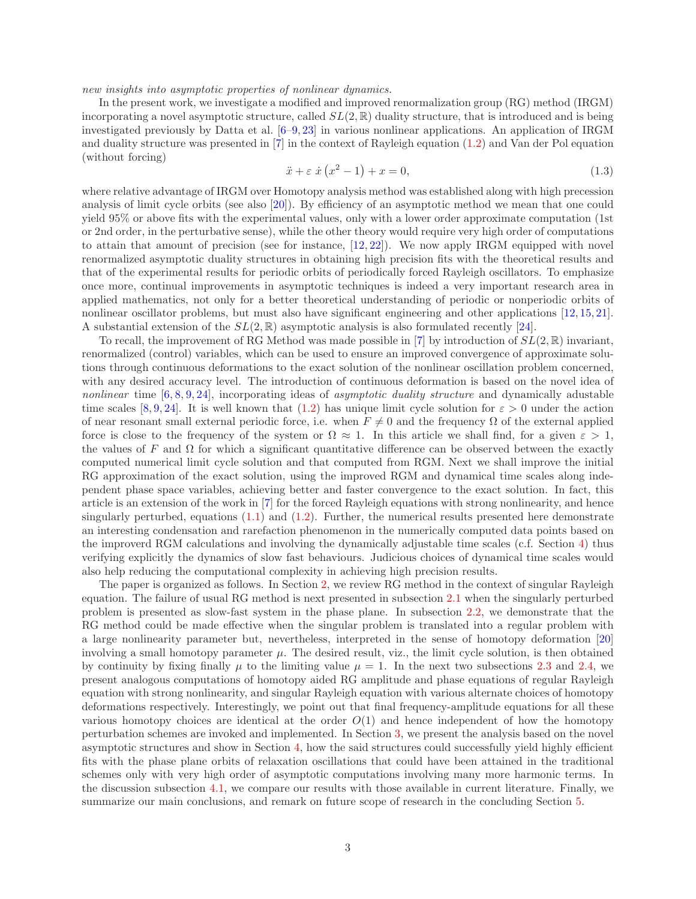new insights into asymptotic properties of nonlinear dynamics.

In the present work, we investigate a modified and improved renormalization group (RG) method (IRGM) incorporating a novel asymptotic structure, called  $SL(2,\mathbb{R})$  duality structure, that is introduced and is being investigated previously by Datta et al. [\[6–](#page-26-3)[9,](#page-26-4) [23\]](#page-27-6) in various nonlinear applications. An application of IRGM and duality structure was presented in [\[7\]](#page-26-8) in the context of Rayleigh equation [\(1.2\)](#page-1-0) and Van der Pol equation (without forcing)

$$
\ddot{x} + \varepsilon \dot{x} (x^2 - 1) + x = 0,\tag{1.3}
$$

where relative advantage of IRGM over Homotopy analysis method was established along with high precession analysis of limit cycle orbits (see also [\[20\]](#page-27-3)). By efficiency of an asymptotic method we mean that one could yield 95% or above fits with the experimental values, only with a lower order approximate computation (1st or 2nd order, in the perturbative sense), while the other theory would require very high order of computations to attain that amount of precision (see for instance, [\[12,](#page-26-7) [22\]](#page-27-5)). We now apply IRGM equipped with novel renormalized asymptotic duality structures in obtaining high precision fits with the theoretical results and that of the experimental results for periodic orbits of periodically forced Rayleigh oscillators. To emphasize once more, continual improvements in asymptotic techniques is indeed a very important research area in applied mathematics, not only for a better theoretical understanding of periodic or nonperiodic orbits of nonlinear oscillator problems, but must also have significant engineering and other applications [\[12,](#page-26-7) [15,](#page-26-12) [21\]](#page-27-4). A substantial extension of the  $SL(2,\mathbb{R})$  asymptotic analysis is also formulated recently [\[24\]](#page-27-7).

To recall, the improvement of RG Method was made possible in [\[7\]](#page-26-8) by introduction of  $SL(2,\mathbb{R})$  invariant, renormalized (control) variables, which can be used to ensure an improved convergence of approximate solutions through continuous deformations to the exact solution of the nonlinear oscillation problem concerned, with any desired accuracy level. The introduction of continuous deformation is based on the novel idea of nonlinear time  $[6, 8, 9, 24]$  $[6, 8, 9, 24]$  $[6, 8, 9, 24]$  $[6, 8, 9, 24]$  $[6, 8, 9, 24]$  $[6, 8, 9, 24]$ , incorporating ideas of *asymptotic duality structure* and dynamically adustable time scales [\[8,](#page-26-15) [9,](#page-26-4) [24\]](#page-27-7). It is well known that [\(1.2\)](#page-1-0) has unique limit cycle solution for  $\varepsilon > 0$  under the action of near resonant small external periodic force, i.e. when  $F \neq 0$  and the frequency  $\Omega$  of the external applied force is close to the frequency of the system or  $\Omega \approx 1$ . In this article we shall find, for a given  $\varepsilon > 1$ , the values of F and  $\Omega$  for which a significant quantitative difference can be observed between the exactly computed numerical limit cycle solution and that computed from RGM. Next we shall improve the initial RG approximation of the exact solution, using the improved RGM and dynamical time scales along independent phase space variables, achieving better and faster convergence to the exact solution. In fact, this article is an extension of the work in [\[7\]](#page-26-8) for the forced Rayleigh equations with strong nonlinearity, and hence singularly perturbed, equations  $(1.1)$  and  $(1.2)$ . Further, the numerical results presented here demonstrate an interesting condensation and rarefaction phenomenon in the numerically computed data points based on the improverd RGM calculations and involving the dynamically adjustable time scales (c.f. Section [4\)](#page-17-0) thus verifying explicitly the dynamics of slow fast behaviours. Judicious choices of dynamical time scales would also help reducing the computational complexity in achieving high precision results.

The paper is organized as follows. In Section [2,](#page-3-0) we review RG method in the context of singular Rayleigh equation. The failure of usual RG method is next presented in subsection [2.1](#page-4-0) when the singularly perturbed problem is presented as slow-fast system in the phase plane. In subsection [2.2,](#page-6-0) we demonstrate that the RG method could be made effective when the singular problem is translated into a regular problem with a large nonlinearity parameter but, nevertheless, interpreted in the sense of homotopy deformation [\[20\]](#page-27-3) involving a small homotopy parameter  $\mu$ . The desired result, viz., the limit cycle solution, is then obtained by continuity by fixing finally  $\mu$  to the limiting value  $\mu = 1$ . In the next two subsections [2.3](#page-9-0) and [2.4,](#page-11-0) we present analogous computations of homotopy aided RG amplitude and phase equations of regular Rayleigh equation with strong nonlinearity, and singular Rayleigh equation with various alternate choices of homotopy deformations respectively. Interestingly, we point out that final frequency-amplitude equations for all these various homotopy choices are identical at the order  $O(1)$  and hence independent of how the homotopy perturbation schemes are invoked and implemented. In Section [3,](#page-13-0) we present the analysis based on the novel asymptotic structures and show in Section [4,](#page-17-0) how the said structures could successfully yield highly efficient fits with the phase plane orbits of relaxation oscillations that could have been attained in the traditional schemes only with very high order of asymptotic computations involving many more harmonic terms. In the discussion subsection [4.1,](#page-21-0) we compare our results with those available in current literature. Finally, we summarize our main conclusions, and remark on future scope of research in the concluding Section [5.](#page-21-1)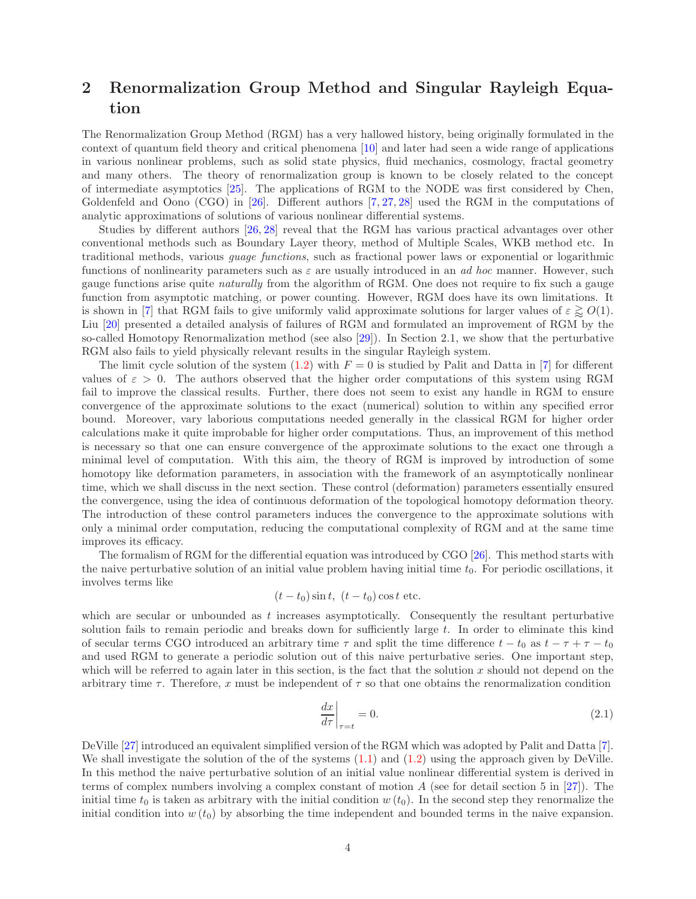# <span id="page-3-0"></span>2 Renormalization Group Method and Singular Rayleigh Equation

The Renormalization Group Method (RGM) has a very hallowed history, being originally formulated in the context of quantum field theory and critical phenomena [\[10\]](#page-26-5) and later had seen a wide range of applications in various nonlinear problems, such as solid state physics, fluid mechanics, cosmology, fractal geometry and many others. The theory of renormalization group is known to be closely related to the concept of intermediate asymptotics [\[25\]](#page-27-8). The applications of RGM to the NODE was first considered by Chen, Goldenfeld and Oono (CGO) in [\[26\]](#page-27-9). Different authors [\[7,](#page-26-8) [27,](#page-27-10) [28\]](#page-27-11) used the RGM in the computations of analytic approximations of solutions of various nonlinear differential systems.

Studies by different authors [\[26,](#page-27-9) [28\]](#page-27-11) reveal that the RGM has various practical advantages over other conventional methods such as Boundary Layer theory, method of Multiple Scales, WKB method etc. In traditional methods, various guage functions, such as fractional power laws or exponential or logarithmic functions of nonlinearity parameters such as  $\varepsilon$  are usually introduced in an *ad hoc* manner. However, such gauge functions arise quite naturally from the algorithm of RGM. One does not require to fix such a gauge function from asymptotic matching, or power counting. However, RGM does have its own limitations. It is shown in [\[7\]](#page-26-8) that RGM fails to give uniformly valid approximate solutions for larger values of  $\varepsilon \gtrapprox O(1)$ . Liu [\[20\]](#page-27-3) presented a detailed analysis of failures of RGM and formulated an improvement of RGM by the so-called Homotopy Renormalization method (see also [\[29\]](#page-27-12)). In Section 2.1, we show that the perturbative RGM also fails to yield physically relevant results in the singular Rayleigh system.

The limit cycle solution of the system  $(1.2)$  with  $F = 0$  is studied by Palit and Datta in [\[7\]](#page-26-8) for different values of  $\varepsilon > 0$ . The authors observed that the higher order computations of this system using RGM fail to improve the classical results. Further, there does not seem to exist any handle in RGM to ensure convergence of the approximate solutions to the exact (numerical) solution to within any specified error bound. Moreover, vary laborious computations needed generally in the classical RGM for higher order calculations make it quite improbable for higher order computations. Thus, an improvement of this method is necessary so that one can ensure convergence of the approximate solutions to the exact one through a minimal level of computation. With this aim, the theory of RGM is improved by introduction of some homotopy like deformation parameters, in association with the framework of an asymptotically nonlinear time, which we shall discuss in the next section. These control (deformation) parameters essentially ensured the convergence, using the idea of continuous deformation of the topological homotopy deformation theory. The introduction of these control parameters induces the convergence to the approximate solutions with only a minimal order computation, reducing the computational complexity of RGM and at the same time improves its efficacy.

The formalism of RGM for the differential equation was introduced by CGO [\[26\]](#page-27-9). This method starts with the naive perturbative solution of an initial value problem having initial time  $t<sub>0</sub>$ . For periodic oscillations, it involves terms like

$$
(t-t_0)\sin t
$$
,  $(t-t_0)\cos t$  etc.

which are secular or unbounded as t increases asymptotically. Consequently the resultant perturbative solution fails to remain periodic and breaks down for sufficiently large t. In order to eliminate this kind of secular terms CGO introduced an arbitrary time  $\tau$  and split the time difference  $t - t_0$  as  $t - \tau + \tau - t_0$ and used RGM to generate a periodic solution out of this naive perturbative series. One important step, which will be referred to again later in this section, is the fact that the solution  $x$  should not depend on the arbitrary time  $\tau$ . Therefore, x must be independent of  $\tau$  so that one obtains the renormalization condition

<span id="page-3-1"></span>
$$
\left. \frac{dx}{d\tau} \right|_{\tau=t} = 0. \tag{2.1}
$$

DeVille [\[27\]](#page-27-10) introduced an equivalent simplified version of the RGM which was adopted by Palit and Datta [\[7\]](#page-26-8). We shall investigate the solution of the of the systems  $(1.1)$  and  $(1.2)$  using the approach given by DeVille. In this method the naive perturbative solution of an initial value nonlinear differential system is derived in terms of complex numbers involving a complex constant of motion  $A$  (see for detail section 5 in [\[27\]](#page-27-10)). The initial time  $t_0$  is taken as arbitrary with the initial condition w  $(t_0)$ . In the second step they renormalize the initial condition into  $w(t_0)$  by absorbing the time independent and bounded terms in the naive expansion.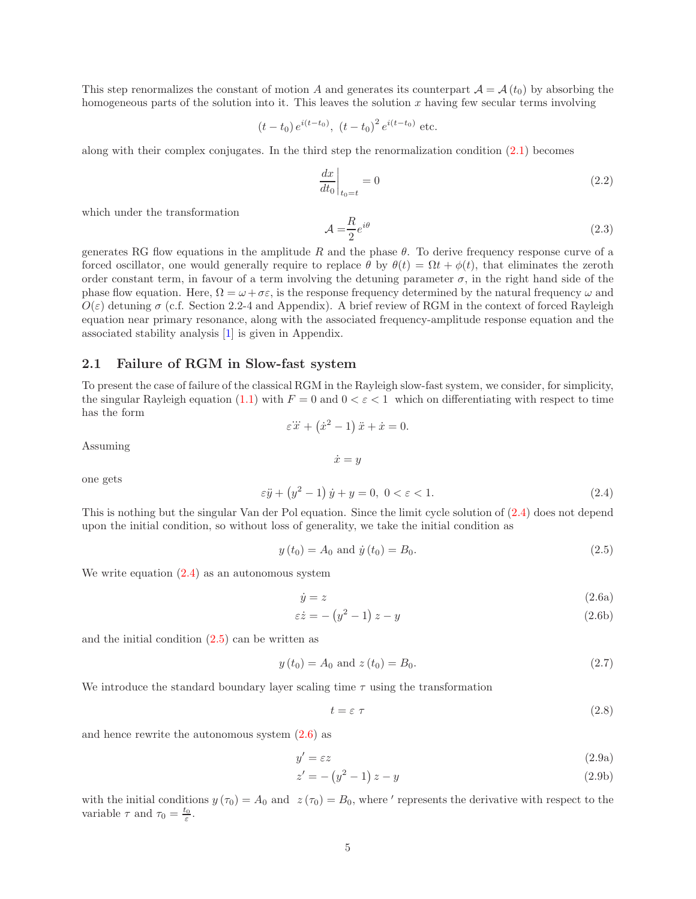This step renormalizes the constant of motion A and generates its counterpart  $\mathcal{A} = \mathcal{A}(t_0)$  by absorbing the homogeneous parts of the solution into it. This leaves the solution  $x$  having few secular terms involving

$$
(t - t_0) e^{i(t - t_0)}
$$
,  $(t - t_0)^2 e^{i(t - t_0)}$  etc.

along with their complex conjugates. In the third step the renormalization condition [\(2.1\)](#page-3-1) becomes

<span id="page-4-5"></span>
$$
\left. \frac{dx}{dt_0} \right|_{t_0=t} = 0 \tag{2.2}
$$

which under the transformation

<span id="page-4-6"></span>
$$
\mathcal{A} = \frac{R}{2} e^{i\theta} \tag{2.3}
$$

generates RG flow equations in the amplitude R and the phase  $\theta$ . To derive frequency response curve of a forced oscillator, one would generally require to replace  $\theta$  by  $\theta(t) = \Omega t + \phi(t)$ , that eliminates the zeroth order constant term, in favour of a term involving the detuning parameter  $\sigma$ , in the right hand side of the phase flow equation. Here,  $\Omega = \omega + \sigma \varepsilon$ , is the response frequency determined by the natural frequency  $\omega$  and  $O(\varepsilon)$  detuning  $\sigma$  (c.f. Section 2.2-4 and Appendix). A brief review of RGM in the context of forced Rayleigh equation near primary resonance, along with the associated frequency-amplitude response equation and the associated stability analysis [\[1\]](#page-26-0) is given in Appendix.

## <span id="page-4-0"></span>2.1 Failure of RGM in Slow-fast system

To present the case of failure of the classical RGM in the Rayleigh slow-fast system, we consider, for simplicity, the singular Rayleigh equation [\(1.1\)](#page-0-0) with  $F = 0$  and  $0 < \varepsilon < 1$  which on differentiating with respect to time has the form  $\varepsilon \ddot{x} + (\dot{x}^2 - 1) \ddot{x} + \dot{x} = 0.$ 

 $\dot{x} = y$ 

$$
\operatorname{Assuming}
$$

one gets

<span id="page-4-1"></span>
$$
\varepsilon \ddot{y} + \left(y^2 - 1\right) \dot{y} + y = 0, \ 0 < \varepsilon < 1. \tag{2.4}
$$

This is nothing but the singular Van der Pol equation. Since the limit cycle solution of [\(2.4\)](#page-4-1) does not depend upon the initial condition, so without loss of generality, we take the initial condition as

<span id="page-4-2"></span>
$$
y(t_0) = A_0
$$
 and  $\dot{y}(t_0) = B_0.$  (2.5)

We write equation  $(2.4)$  as an autonomous system

<span id="page-4-3"></span>
$$
\dot{y} = z \tag{2.6a}
$$

$$
\varepsilon \dot{z} = -\left(y^2 - 1\right)z - y \tag{2.6b}
$$

and the initial condition  $(2.5)$  can be written as

$$
y(t_0) = A_0 \text{ and } z(t_0) = B_0. \tag{2.7}
$$

We introduce the standard boundary layer scaling time  $\tau$  using the transformation

<span id="page-4-4"></span>
$$
t = \varepsilon \tau \tag{2.8}
$$

and hence rewrite the autonomous system [\(2.6\)](#page-4-3) as

$$
y' = \varepsilon z \tag{2.9a}
$$

$$
z' = -\left(y^2 - 1\right)z - y\tag{2.9b}
$$

with the initial conditions  $y(\tau_0) = A_0$  and  $z(\tau_0) = B_0$ , where ' represents the derivative with respect to the variable  $\tau$  and  $\tau_0 = \frac{t_0}{\varepsilon}$ .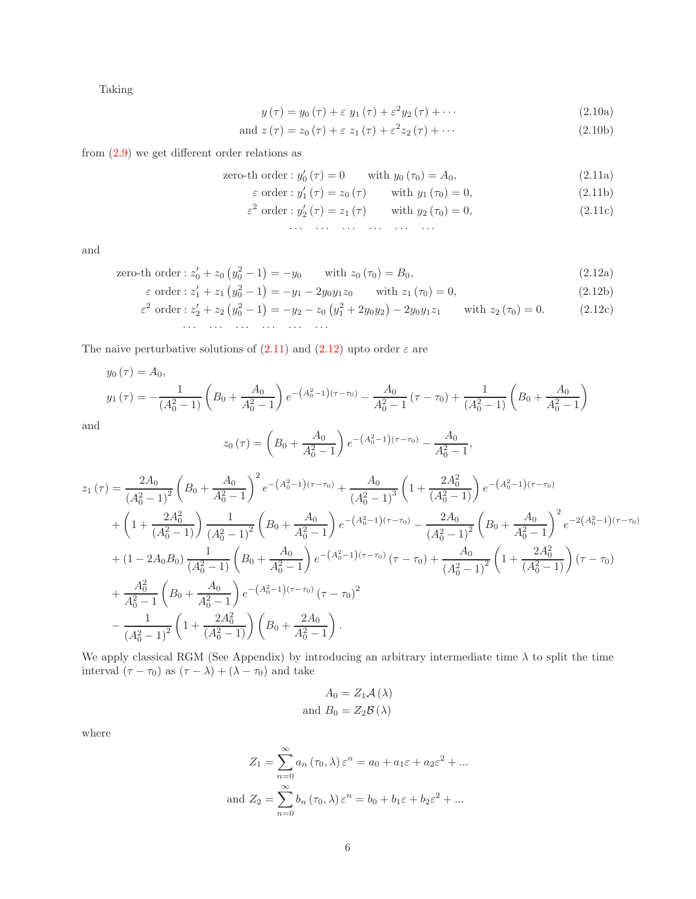Taking

<span id="page-5-0"></span>
$$
y(\tau) = y_0(\tau) + \varepsilon y_1(\tau) + \varepsilon^2 y_2(\tau) + \cdots
$$
 (2.10a)

$$
\text{and } z(\tau) = z_0(\tau) + \varepsilon z_1(\tau) + \varepsilon^2 z_2(\tau) + \cdots \tag{2.10b}
$$

from [\(2.9\)](#page-4-4) we get different order relations as

zero-th order : 
$$
y'_0(\tau) = 0
$$
 with  $y_0(\tau_0) = A_0$ ,  $(2.11a)$ 

$$
\varepsilon \text{ order}: y_1'(\tau) = z_0(\tau) \quad \text{with } y_1(\tau_0) = 0,
$$
\n(2.11b)

$$
\varepsilon^{2} \text{ order} : y_{2}^{\prime}(\tau) = z_{1}(\tau) \quad \text{with } y_{2}(\tau_{0}) = 0,
$$
\n(2.11c)

· · · · · · · · · · · · · · · · · ·

<span id="page-5-1"></span>and

zero-th order: 
$$
z'_0 + z_0 (y_0^2 - 1) = -y_0
$$
 with  $z_0(\tau_0) = B_0$ , 
$$
(2.12a)
$$

$$
\varepsilon \text{ order}: z_1' + z_1 \left( y_0^2 - 1 \right) = -y_1 - 2y_0 y_1 z_0 \quad \text{with } z_1(\tau_0) = 0,
$$
\n(2.12b)

$$
\varepsilon^2 \text{ order}: z_2' + z_2 \left( y_0^2 - 1 \right) = -y_2 - z_0 \left( y_1^2 + 2y_0 y_2 \right) - 2y_0 y_1 z_1 \quad \text{with } z_2(\tau_0) = 0. \tag{2.12c}
$$

The naive perturbative solutions of  $(2.11)$  and  $(2.12)$  upto order  $\varepsilon$  are

$$
y_0(\tau) = A_0,
$$
  

$$
y_1(\tau) = -\frac{1}{(A_0^2 - 1)} \left( B_0 + \frac{A_0}{A_0^2 - 1} \right) e^{-\left(A_0^2 - 1\right)(\tau - \tau_0)} - \frac{A_0}{A_0^2 - 1} (\tau - \tau_0) + \frac{1}{(A_0^2 - 1)} \left( B_0 + \frac{A_0}{A_0^2 - 1} \right)
$$

and

$$
z_0(\tau) = \left(B_0 + \frac{A_0}{A_0^2 - 1}\right) e^{-\left(A_0^2 - 1\right)(\tau - \tau_0)} - \frac{A_0}{A_0^2 - 1},
$$

$$
z_{1}(\tau) = \frac{2A_{0}}{(A_{0}^{2}-1)^{2}} \left(B_{0} + \frac{A_{0}}{A_{0}^{2}-1}\right)^{2} e^{-\left(A_{0}^{2}-1\right)(\tau-\tau_{0})} + \frac{A_{0}}{(A_{0}^{2}-1)^{3}} \left(1 + \frac{2A_{0}^{2}}{(A_{0}^{2}-1)}\right) e^{-\left(A_{0}^{2}-1\right)(\tau-\tau_{0})} + \left(1 + \frac{2A_{0}^{2}}{(A_{0}^{2}-1)}\right) \frac{1}{(A_{0}^{2}-1)^{2}} \left(B_{0} + \frac{A_{0}}{A_{0}^{2}-1}\right) e^{-\left(A_{0}^{2}-1\right)(\tau-\tau_{0})} - \frac{2A_{0}}{(A_{0}^{2}-1)^{2}} \left(B_{0} + \frac{A_{0}}{A_{0}^{2}-1}\right)^{2} e^{-2\left(A_{0}^{2}-1\right)(\tau-\tau_{0})} + (1 - 2A_{0}B_{0}) \frac{1}{(A_{0}^{2}-1)} \left(B_{0} + \frac{A_{0}}{A_{0}^{2}-1}\right) e^{-\left(A_{0}^{2}-1\right)(\tau-\tau_{0})} \left(\tau-\tau_{0}\right) + \frac{A_{0}}{(A_{0}^{2}-1)^{2}} \left(1 + \frac{2A_{0}^{2}}{(A_{0}^{2}-1)}\right) (\tau-\tau_{0}) + \frac{A_{0}^{2}}{A_{0}^{2}-1} \left(B_{0} + \frac{A_{0}}{A_{0}^{2}-1}\right) e^{-\left(A_{0}^{2}-1\right)(\tau-\tau_{0})} \left(\tau-\tau_{0}\right)^{2} - \frac{1}{\left(A_{0}^{2}-1\right)^{2}} \left(1 + \frac{2A_{0}^{2}}{(A_{0}^{2}-1)}\right) \left(B_{0} + \frac{2A_{0}}{A_{0}^{2}-1}\right).
$$

We apply classical RGM (See Appendix) by introducing an arbitrary intermediate time  $\lambda$  to split the time interval  $(\tau - \tau_0)$  as  $(\tau - \lambda) + (\lambda - \tau_0)$  and take

$$
A_0 = Z_1 \mathcal{A} (\lambda)
$$
  
and  $B_0 = Z_2 \mathcal{B} (\lambda)$ 

where

$$
Z_1 = \sum_{n=0}^{\infty} a_n (\tau_0, \lambda) \varepsilon^n = a_0 + a_1 \varepsilon + a_2 \varepsilon^2 + \dots
$$
  
and 
$$
Z_2 = \sum_{n=0}^{\infty} b_n (\tau_0, \lambda) \varepsilon^n = b_0 + b_1 \varepsilon + b_2 \varepsilon^2 + \dots
$$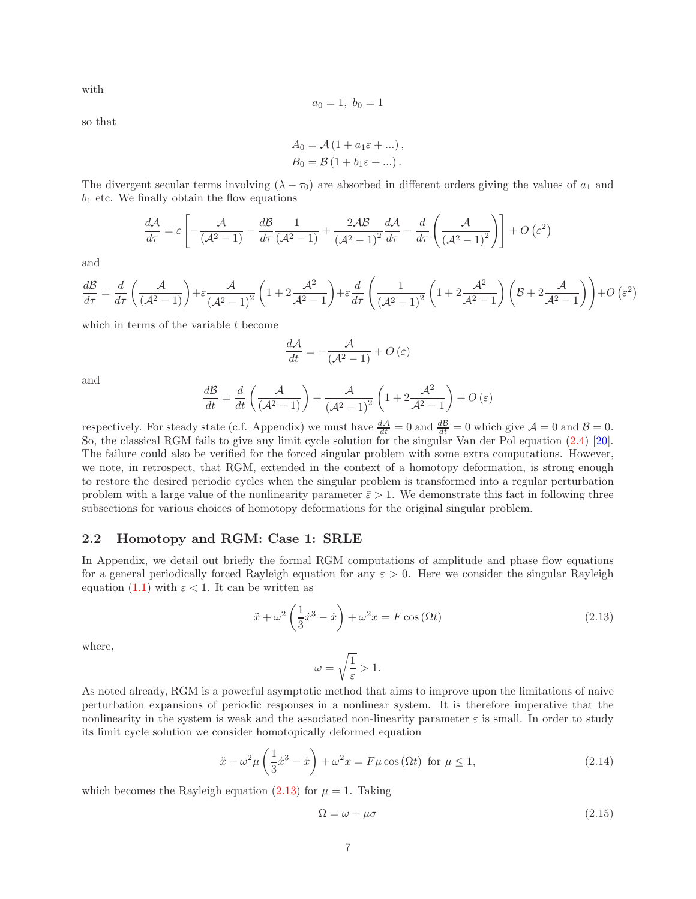with

$$
a_0 = 1, \; b_0 = 1
$$

so that

$$
A_0 = \mathcal{A} (1 + a_1 \varepsilon + \dots),
$$
  
\n
$$
B_0 = \mathcal{B} (1 + b_1 \varepsilon + \dots).
$$

The divergent secular terms involving  $(\lambda - \tau_0)$  are absorbed in different orders giving the values of  $a_1$  and  $b_1$  etc. We finally obtain the flow equations

$$
\frac{d\mathcal{A}}{d\tau} = \varepsilon \left[ -\frac{\mathcal{A}}{(\mathcal{A}^2 - 1)} - \frac{d\mathcal{B}}{d\tau} \frac{1}{(\mathcal{A}^2 - 1)} + \frac{2\mathcal{A}\mathcal{B}}{(\mathcal{A}^2 - 1)^2} \frac{d\mathcal{A}}{d\tau} - \frac{d}{d\tau} \left( \frac{\mathcal{A}}{(\mathcal{A}^2 - 1)^2} \right) \right] + O\left(\varepsilon^2\right)
$$

and

$$
\frac{d\mathcal{B}}{d\tau} = \frac{d}{d\tau} \left( \frac{\mathcal{A}}{(\mathcal{A}^2 - 1)} \right) + \varepsilon \frac{\mathcal{A}}{(\mathcal{A}^2 - 1)^2} \left( 1 + 2 \frac{\mathcal{A}^2}{\mathcal{A}^2 - 1} \right) + \varepsilon \frac{d}{d\tau} \left( \frac{1}{(\mathcal{A}^2 - 1)^2} \left( 1 + 2 \frac{\mathcal{A}^2}{\mathcal{A}^2 - 1} \right) \left( \mathcal{B} + 2 \frac{\mathcal{A}}{\mathcal{A}^2 - 1} \right) \right) + O\left(\varepsilon^2\right)
$$

which in terms of the variable  $t$  become

$$
\frac{d\mathcal{A}}{dt} = -\frac{\mathcal{A}}{(\mathcal{A}^2 - 1)} + O\left(\varepsilon\right)
$$

and

$$
\frac{d\mathcal{B}}{dt} = \frac{d}{dt}\left(\frac{\mathcal{A}}{\left(\mathcal{A}^2 - 1\right)}\right) + \frac{\mathcal{A}}{\left(\mathcal{A}^2 - 1\right)^2} \left(1 + 2\frac{\mathcal{A}^2}{\mathcal{A}^2 - 1}\right) + O\left(\varepsilon\right)
$$

respectively. For steady state (c.f. Appendix) we must have  $\frac{dA}{dt} = 0$  and  $\frac{dB}{dt} = 0$  which give  $A = 0$  and  $B = 0$ . So, the classical RGM fails to give any limit cycle solution for the singular Van der Pol equation [\(2.4\)](#page-4-1) [\[20\]](#page-27-3). The failure could also be verified for the forced singular problem with some extra computations. However, we note, in retrospect, that RGM, extended in the context of a homotopy deformation, is strong enough to restore the desired periodic cycles when the singular problem is transformed into a regular perturbation problem with a large value of the nonlinearity parameter  $\bar{\varepsilon} > 1$ . We demonstrate this fact in following three subsections for various choices of homotopy deformations for the original singular problem.

### <span id="page-6-0"></span>2.2 Homotopy and RGM: Case 1: SRLE

In Appendix, we detail out briefly the formal RGM computations of amplitude and phase flow equations for a general periodically forced Rayleigh equation for any  $\varepsilon > 0$ . Here we consider the singular Rayleigh equation [\(1.1\)](#page-0-0) with  $\varepsilon < 1$ . It can be written as

<span id="page-6-1"></span>
$$
\ddot{x} + \omega^2 \left(\frac{1}{3}\dot{x}^3 - \dot{x}\right) + \omega^2 x = F\cos\left(\Omega t\right) \tag{2.13}
$$

where,

$$
\omega = \sqrt{\frac{1}{\varepsilon}} > 1.
$$

As noted already, RGM is a powerful asymptotic method that aims to improve upon the limitations of naive perturbation expansions of periodic responses in a nonlinear system. It is therefore imperative that the nonlinearity in the system is weak and the associated non-linearity parameter  $\varepsilon$  is small. In order to study its limit cycle solution we consider homotopically deformed equation

$$
\ddot{x} + \omega^2 \mu \left(\frac{1}{3}\dot{x}^3 - \dot{x}\right) + \omega^2 x = F\mu \cos(\Omega t) \text{ for } \mu \le 1,
$$
\n(2.14)

which becomes the Rayleigh equation [\(2.13\)](#page-6-1) for  $\mu = 1$ . Taking

$$
\Omega = \omega + \mu \sigma \tag{2.15}
$$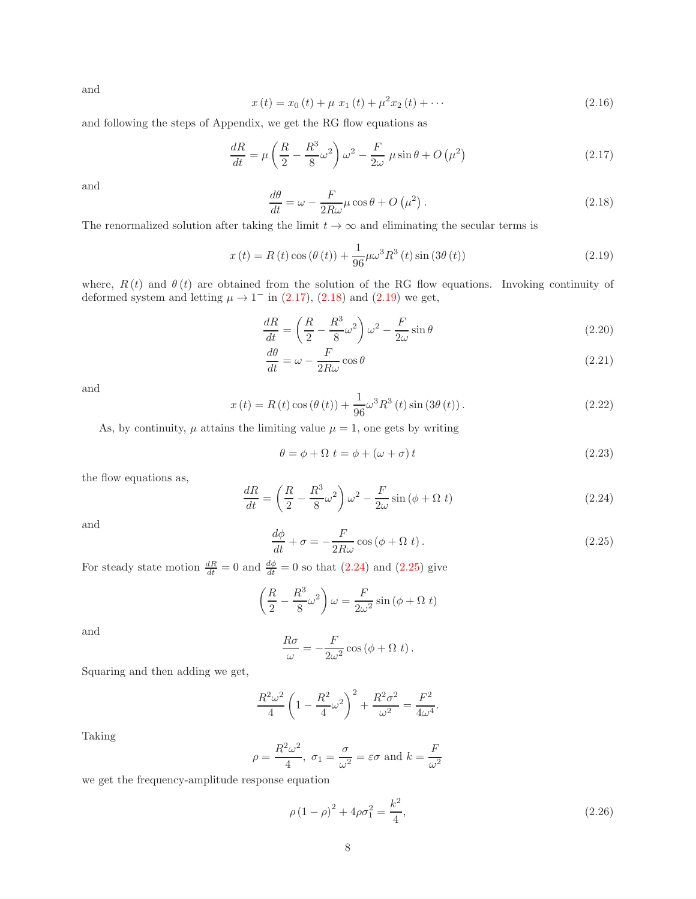and

$$
x(t) = x_0(t) + \mu x_1(t) + \mu^2 x_2(t) + \cdots
$$
\n(2.16)

and following the steps of Appendix, we get the RG flow equations as

<span id="page-7-0"></span>
$$
\frac{dR}{dt} = \mu \left( \frac{R}{2} - \frac{R^3}{8} \omega^2 \right) \omega^2 - \frac{F}{2\omega} \mu \sin \theta + O\left(\mu^2\right) \tag{2.17}
$$

and

<span id="page-7-1"></span>
$$
\frac{d\theta}{dt} = \omega - \frac{F}{2R\omega}\mu\cos\theta + O\left(\mu^2\right). \tag{2.18}
$$

The renormalized solution after taking the limit  $t \to \infty$  and eliminating the secular terms is

<span id="page-7-2"></span>
$$
x(t) = R(t)\cos(\theta(t)) + \frac{1}{96}\mu\omega^3 R^3(t)\sin(3\theta(t))
$$
\n(2.19)

where,  $R(t)$  and  $\theta(t)$  are obtained from the solution of the RG flow equations. Invoking continuity of deformed system and letting  $\mu \rightarrow 1^-$  in [\(2.17\)](#page-7-0), [\(2.18\)](#page-7-1) and [\(2.19\)](#page-7-2) we get,

$$
\frac{dR}{dt} = \left(\frac{R}{2} - \frac{R^3}{8}\omega^2\right)\omega^2 - \frac{F}{2\omega}\sin\theta\tag{2.20}
$$

$$
\frac{d\theta}{dt} = \omega - \frac{F}{2R\omega}\cos\theta\tag{2.21}
$$

and

<span id="page-7-6"></span>
$$
x(t) = R(t)\cos(\theta(t)) + \frac{1}{96}\omega^3 R^3(t)\sin(3\theta(t)).
$$
\n(2.22)

As, by continuity,  $\mu$  attains the limiting value  $\mu = 1$ , one gets by writing

$$
\theta = \phi + \Omega \ t = \phi + (\omega + \sigma) \ t \tag{2.23}
$$

the flow equations as,

<span id="page-7-3"></span>
$$
\frac{dR}{dt} = \left(\frac{R}{2} - \frac{R^3}{8}\omega^2\right)\omega^2 - \frac{F}{2\omega}\sin\left(\phi + \Omega t\right) \tag{2.24}
$$

and

<span id="page-7-4"></span>
$$
\frac{d\phi}{dt} + \sigma = -\frac{F}{2R\omega}\cos\left(\phi + \Omega t\right). \tag{2.25}
$$

For steady state motion  $\frac{dR}{dt} = 0$  and  $\frac{d\phi}{dt} = 0$  so that  $(2.24)$  and  $(2.25)$  give

$$
\left(\frac{R}{2} - \frac{R^3}{8}\omega^2\right)\omega = \frac{F}{2\omega^2}\sin\left(\phi + \Omega t\right)
$$

and

$$
\frac{R\sigma}{\omega} = -\frac{F}{2\omega^2}\cos\left(\phi + \Omega t\right).
$$

Squaring and then adding we get,

$$
\frac{R^2\omega^2}{4}\left(1-\frac{R^2}{4}\omega^2\right)^2 + \frac{R^2\sigma^2}{\omega^2} = \frac{F^2}{4\omega^4}.
$$

Taking

$$
\rho = \frac{R^2 \omega^2}{4}
$$
,  $\sigma_1 = \frac{\sigma}{\omega^2} = \varepsilon \sigma$  and  $k = \frac{F}{\omega^2}$ 

we get the frequency-amplitude response equation

<span id="page-7-5"></span>
$$
\rho (1 - \rho)^2 + 4\rho \sigma_1^2 = \frac{k^2}{4},\tag{2.26}
$$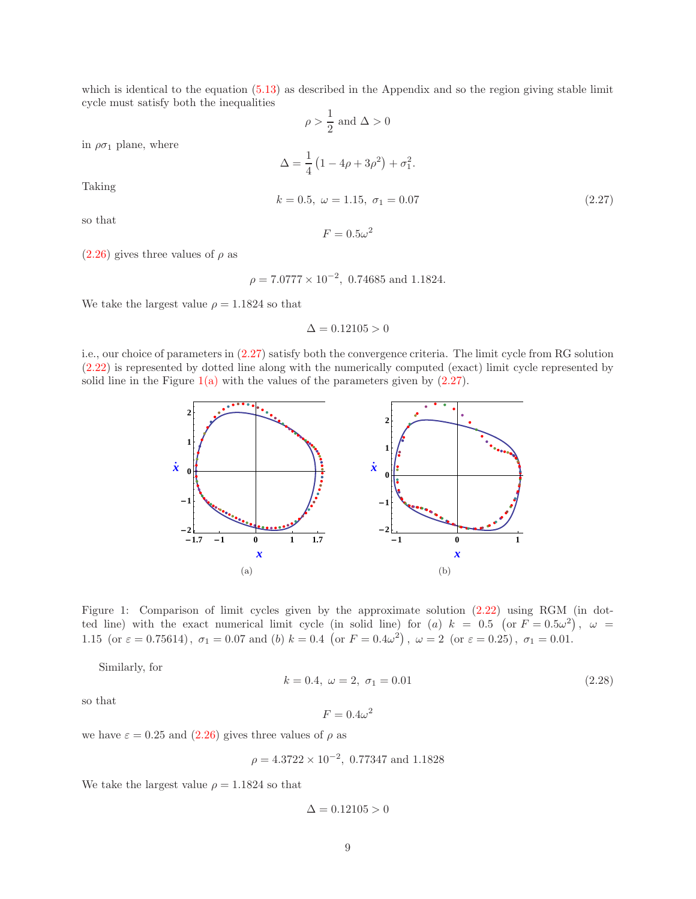which is identical to the equation  $(5.13)$  as described in the Appendix and so the region giving stable limit cycle must satisfy both the inequalities

$$
\rho > \frac{1}{2} \text{ and } \Delta > 0
$$
  

$$
\Delta = \frac{1}{4} \left( 1 - 4\rho + 3\rho^2 \right) + \sigma_1^2.
$$
  

$$
k = 0.5, \ \omega = 1.15, \ \sigma_1 = 0.07
$$
 (2.27)

in  $\rho \sigma_1$  plane, where

Taking

so that

<span id="page-8-0"></span> $F = 0.5\omega^2$ 

 $(2.26)$  gives three values of  $\rho$  as

 $\rho = 7.0777 \times 10^{-2}$ , 0.74685 and 1.1824.

We take the largest value  $\rho = 1.1824$  so that

$$
\Delta = 0.12105 > 0
$$

<span id="page-8-1"></span>i.e., our choice of parameters in [\(2.27\)](#page-8-0) satisfy both the convergence criteria. The limit cycle from RG solution [\(2.22\)](#page-7-6) is represented by dotted line along with the numerically computed (exact) limit cycle represented by solid line in the Figure  $1(a)$  with the values of the parameters given by  $(2.27)$ .



Figure 1: Comparison of limit cycles given by the approximate solution [\(2.22\)](#page-7-6) using RGM (in dotted line) with the exact numerical limit cycle (in solid line) for (a)  $k = 0.5$  (or  $F = 0.5\omega^2$ ),  $\omega =$ 1.15 (or  $\varepsilon = 0.75614$ ),  $\sigma_1 = 0.07$  and (b)  $k = 0.4$  (or  $F = 0.4\omega^2$ ),  $\omega = 2$  (or  $\varepsilon = 0.25$ ),  $\sigma_1 = 0.01$ .

Similarly, for

<span id="page-8-3"></span><span id="page-8-2"></span>
$$
k = 0.4, \ \omega = 2, \ \sigma_1 = 0.01 \tag{2.28}
$$

so that

$$
F = 0.4\omega^2
$$

we have  $\varepsilon = 0.25$  and  $(2.26)$  gives three values of  $\rho$  as

$$
\rho = 4.3722 \times 10^{-2}
$$
, 0.77347 and 1.1828

We take the largest value  $\rho = 1.1824$  so that

$$
\Delta = 0.12105 > 0
$$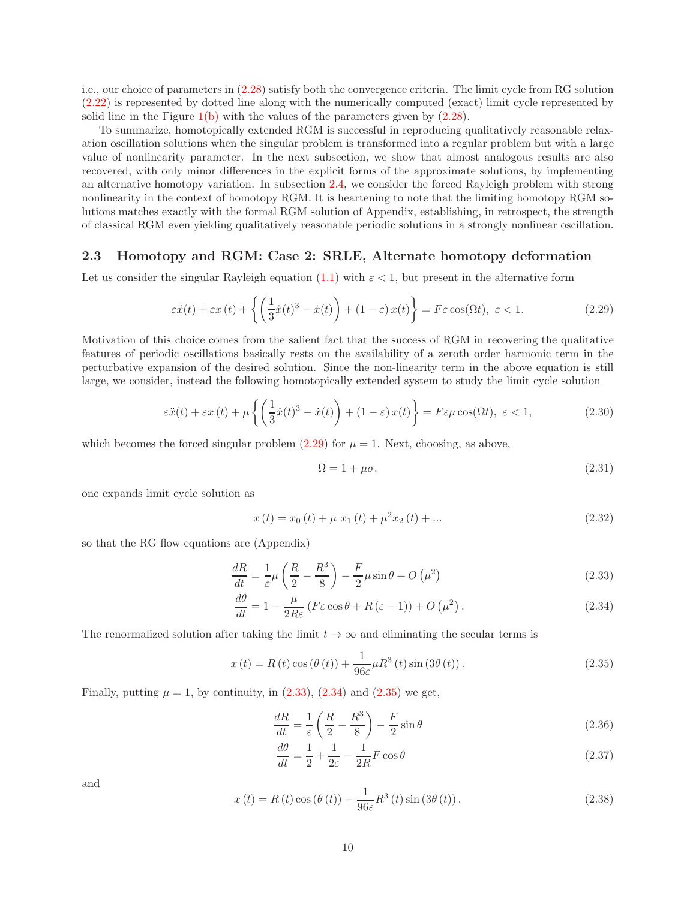i.e., our choice of parameters in [\(2.28\)](#page-8-2) satisfy both the convergence criteria. The limit cycle from RG solution [\(2.22\)](#page-7-6) is represented by dotted line along with the numerically computed (exact) limit cycle represented by solid line in the Figure  $1(b)$  with the values of the parameters given by  $(2.28)$ .

To summarize, homotopically extended RGM is successful in reproducing qualitatively reasonable relaxation oscillation solutions when the singular problem is transformed into a regular problem but with a large value of nonlinearity parameter. In the next subsection, we show that almost analogous results are also recovered, with only minor differences in the explicit forms of the approximate solutions, by implementing an alternative homotopy variation. In subsection [2.4,](#page-11-0) we consider the forced Rayleigh problem with strong nonlinearity in the context of homotopy RGM. It is heartening to note that the limiting homotopy RGM solutions matches exactly with the formal RGM solution of Appendix, establishing, in retrospect, the strength of classical RGM even yielding qualitatively reasonable periodic solutions in a strongly nonlinear oscillation.

## <span id="page-9-0"></span>2.3 Homotopy and RGM: Case 2: SRLE, Alternate homotopy deformation

Let us consider the singular Rayleigh equation [\(1.1\)](#page-0-0) with  $\varepsilon < 1$ , but present in the alternative form

<span id="page-9-1"></span>
$$
\varepsilon \ddot{x}(t) + \varepsilon x(t) + \left\{ \left( \frac{1}{3} \dot{x}(t)^3 - \dot{x}(t) \right) + (1 - \varepsilon) x(t) \right\} = F \varepsilon \cos(\Omega t), \ \varepsilon < 1. \tag{2.29}
$$

Motivation of this choice comes from the salient fact that the success of RGM in recovering the qualitative features of periodic oscillations basically rests on the availability of a zeroth order harmonic term in the perturbative expansion of the desired solution. Since the non-linearity term in the above equation is still large, we consider, instead the following homotopically extended system to study the limit cycle solution

$$
\varepsilon \ddot{x}(t) + \varepsilon x(t) + \mu \left\{ \left( \frac{1}{3} \dot{x}(t)^3 - \dot{x}(t) \right) + (1 - \varepsilon) x(t) \right\} = F \varepsilon \mu \cos(\Omega t), \ \varepsilon < 1,\tag{2.30}
$$

which becomes the forced singular problem  $(2.29)$  for  $\mu = 1$ . Next, choosing, as above,

<span id="page-9-3"></span><span id="page-9-2"></span>
$$
\Omega = 1 + \mu \sigma. \tag{2.31}
$$

one expands limit cycle solution as

$$
x(t) = x_0(t) + \mu x_1(t) + \mu^2 x_2(t) + \dots
$$
\n(2.32)

so that the RG flow equations are (Appendix)

$$
\frac{dR}{dt} = \frac{1}{\varepsilon}\mu\left(\frac{R}{2} - \frac{R^3}{8}\right) - \frac{F}{2}\mu\sin\theta + O\left(\mu^2\right) \tag{2.33}
$$

$$
\frac{d\theta}{dt} = 1 - \frac{\mu}{2R\varepsilon} \left( F\varepsilon \cos \theta + R(\varepsilon - 1) \right) + O\left(\mu^2\right). \tag{2.34}
$$

The renormalized solution after taking the limit  $t \to \infty$  and eliminating the secular terms is

<span id="page-9-4"></span>
$$
x(t) = R(t)\cos\left(\theta(t)\right) + \frac{1}{96\varepsilon}\mu R^3(t)\sin\left(3\theta(t)\right). \tag{2.35}
$$

Finally, putting  $\mu = 1$ , by continuity, in  $(2.33)$ ,  $(2.34)$  and  $(2.35)$  we get,

<span id="page-9-5"></span>
$$
\frac{dR}{dt} = \frac{1}{\varepsilon} \left( \frac{R}{2} - \frac{R^3}{8} \right) - \frac{F}{2} \sin \theta \tag{2.36}
$$

<span id="page-9-6"></span>
$$
\frac{d\theta}{dt} = \frac{1}{2} + \frac{1}{2\varepsilon} - \frac{1}{2R}F\cos\theta\tag{2.37}
$$

and

<span id="page-9-7"></span>
$$
x(t) = R(t)\cos\left(\theta(t)\right) + \frac{1}{96\varepsilon}R^3(t)\sin\left(3\theta(t)\right). \tag{2.38}
$$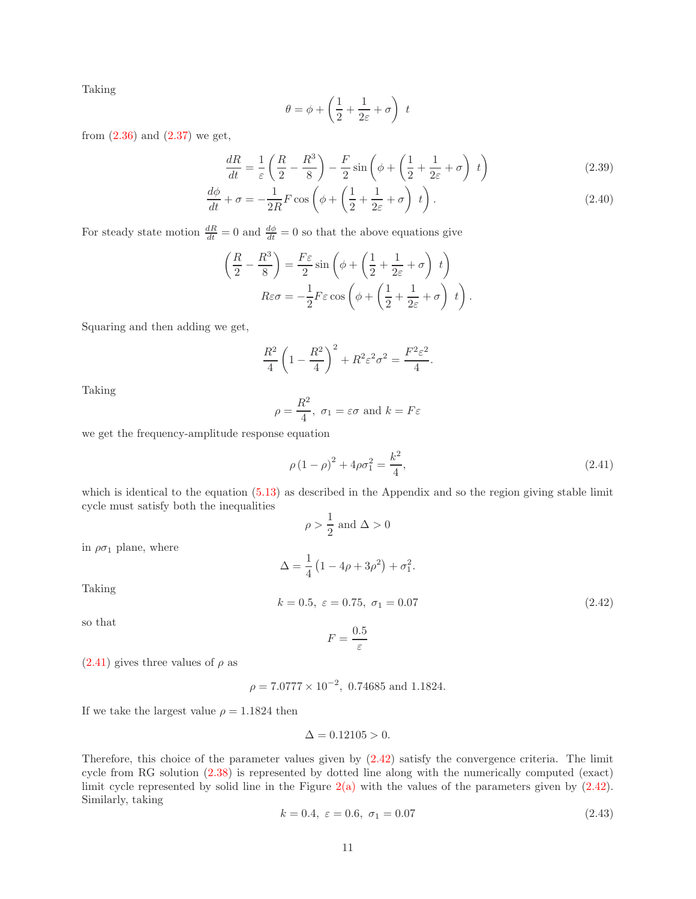Taking

$$
\theta = \phi + \left(\frac{1}{2} + \frac{1}{2\varepsilon} + \sigma\right) t
$$

from  $(2.36)$  and  $(2.37)$  we get,

$$
\frac{dR}{dt} = \frac{1}{\varepsilon} \left( \frac{R}{2} - \frac{R^3}{8} \right) - \frac{F}{2} \sin \left( \phi + \left( \frac{1}{2} + \frac{1}{2\varepsilon} + \sigma \right) t \right) \tag{2.39}
$$

$$
\frac{d\phi}{dt} + \sigma = -\frac{1}{2R}F\cos\left(\phi + \left(\frac{1}{2} + \frac{1}{2\varepsilon} + \sigma\right)t\right).
$$
\n(2.40)

For steady state motion  $\frac{dR}{dt} = 0$  and  $\frac{d\phi}{dt} = 0$  so that the above equations give

$$
\left(\frac{R}{2} - \frac{R^3}{8}\right) = \frac{F\varepsilon}{2}\sin\left(\phi + \left(\frac{1}{2} + \frac{1}{2\varepsilon} + \sigma\right)t\right)
$$

$$
R\varepsilon\sigma = -\frac{1}{2}F\varepsilon\cos\left(\phi + \left(\frac{1}{2} + \frac{1}{2\varepsilon} + \sigma\right)t\right).
$$

Squaring and then adding we get,

$$
\frac{R^2}{4}\left(1-\frac{R^2}{4}\right)^2 + R^2\varepsilon^2\sigma^2 = \frac{F^2\varepsilon^2}{4}.
$$

Taking

$$
\rho = \frac{R^2}{4}, \ \sigma_1 = \varepsilon \sigma \text{ and } k = F\varepsilon
$$

we get the frequency-amplitude response equation

<span id="page-10-0"></span>
$$
\rho (1 - \rho)^2 + 4\rho \sigma_1^2 = \frac{k^2}{4},\tag{2.41}
$$

which is identical to the equation  $(5.13)$  as described in the Appendix and so the region giving stable limit cycle must satisfy both the inequalities

$$
\rho>\frac{1}{2} \text{ and } \Delta>0
$$

in  $\rho \sigma_1$  plane, where

<span id="page-10-1"></span>
$$
\Delta = \frac{1}{4} (1 - 4\rho + 3\rho^2) + \sigma_1^2.
$$
  

$$
k = 0.5, \ \varepsilon = 0.75, \ \sigma_1 = 0.07
$$
 (2.42)

Taking

so that

$$
F=\frac{0.5}{\varepsilon}
$$

 $(2.41)$  gives three values of  $\rho$  as

$$
\rho = 7.0777 \times 10^{-2}, \ 0.74685 \text{ and } 1.1824.
$$

If we take the largest value  $\rho = 1.1824$  then

$$
\Delta = 0.12105 > 0.
$$

Therefore, this choice of the parameter values given by [\(2.42\)](#page-10-1) satisfy the convergence criteria. The limit cycle from RG solution [\(2.38\)](#page-9-7) is represented by dotted line along with the numerically computed (exact) limit cycle represented by solid line in the Figure  $2(a)$  with the values of the parameters given by  $(2.42)$ . Similarly, taking

<span id="page-10-2"></span>
$$
k = 0.4, \ \varepsilon = 0.6, \ \sigma_1 = 0.07 \tag{2.43}
$$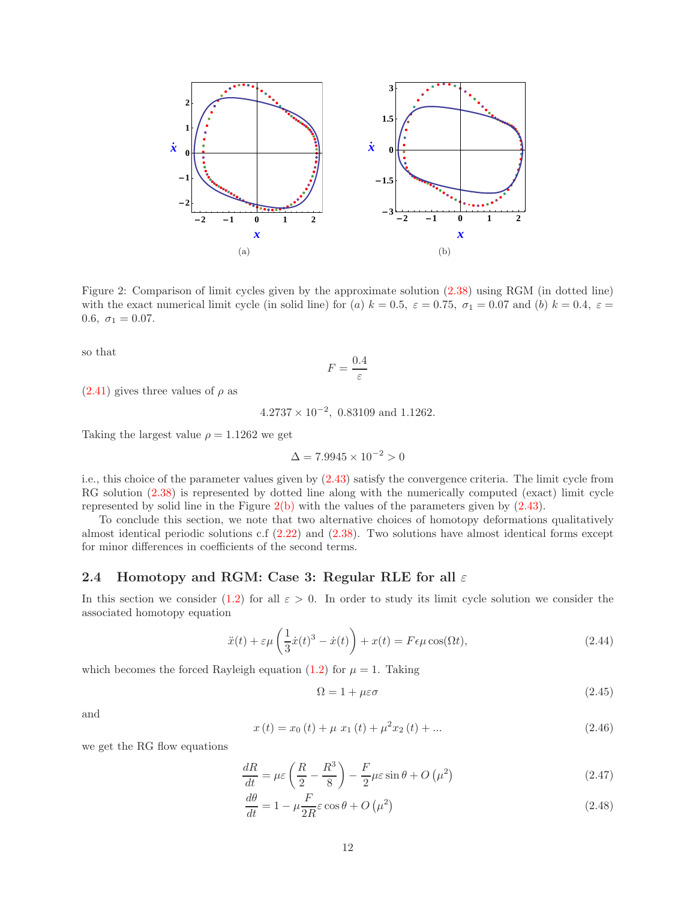<span id="page-11-1"></span>

Figure 2: Comparison of limit cycles given by the approximate solution [\(2.38\)](#page-9-7) using RGM (in dotted line) with the exact numerical limit cycle (in solid line) for (a)  $k = 0.5$ ,  $\varepsilon = 0.75$ ,  $\sigma_1 = 0.07$  and (b)  $k = 0.4$ ,  $\varepsilon =$ 0.6,  $\sigma_1 = 0.07$ .

so that

<span id="page-11-2"></span>
$$
F = \frac{0.4}{\varepsilon}
$$

 $(2.41)$  gives three values of  $\rho$  as

 $4.2737 \times 10^{-2}$ , 0.83109 and 1.1262.

Taking the largest value  $\rho = 1.1262$  we get

$$
\Delta = 7.9945 \times 10^{-2} > 0
$$

i.e., this choice of the parameter values given by [\(2.43\)](#page-10-2) satisfy the convergence criteria. The limit cycle from RG solution  $(2.38)$  is represented by dotted line along with the numerically computed (exact) limit cycle represented by solid line in the Figure [2\(b\)](#page-11-2) with the values of the parameters given by [\(2.43\)](#page-10-2).

To conclude this section, we note that two alternative choices of homotopy deformations qualitatively almost identical periodic solutions c.f [\(2.22\)](#page-7-6) and [\(2.38\)](#page-9-7). Two solutions have almost identical forms except for minor differences in coefficients of the second terms.

## <span id="page-11-0"></span>2.4 Homotopy and RGM: Case 3: Regular RLE for all  $\varepsilon$

In this section we consider [\(1.2\)](#page-1-0) for all  $\varepsilon > 0$ . In order to study its limit cycle solution we consider the associated homotopy equation

$$
\ddot{x}(t) + \varepsilon \mu \left(\frac{1}{3}\dot{x}(t)^3 - \dot{x}(t)\right) + x(t) = F\epsilon \mu \cos(\Omega t),\tag{2.44}
$$

which becomes the forced Rayleigh equation [\(1.2\)](#page-1-0) for  $\mu = 1$ . Taking

<span id="page-11-4"></span><span id="page-11-3"></span>
$$
\Omega = 1 + \mu \varepsilon \sigma \tag{2.45}
$$

and

$$
x(t) = x_0(t) + \mu x_1(t) + \mu^2 x_2(t) + \dots
$$
\n(2.46)

we get the RG flow equations

$$
\frac{dR}{dt} = \mu \varepsilon \left(\frac{R}{2} - \frac{R^3}{8}\right) - \frac{F}{2} \mu \varepsilon \sin \theta + O\left(\mu^2\right) \tag{2.47}
$$

$$
\frac{d\theta}{dt} = 1 - \mu \frac{F}{2R} \varepsilon \cos \theta + O\left(\mu^2\right) \tag{2.48}
$$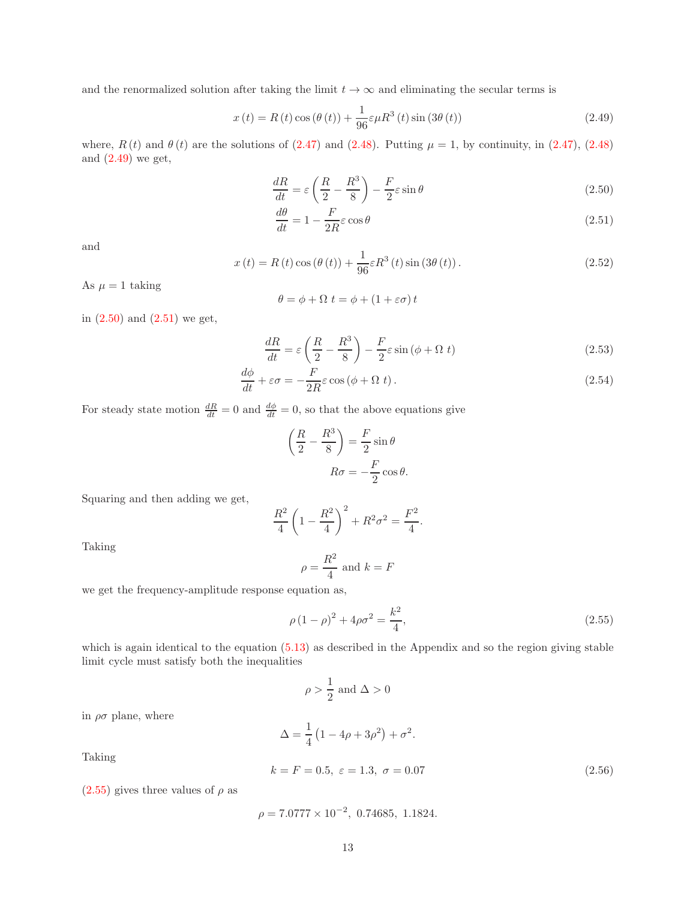and the renormalized solution after taking the limit  $t \to \infty$  and eliminating the secular terms is

<span id="page-12-0"></span>
$$
x(t) = R(t)\cos\left(\theta(t)\right) + \frac{1}{96}\varepsilon\mu R^3\left(t\right)\sin\left(3\theta\left(t\right)\right) \tag{2.49}
$$

where,  $R(t)$  and  $\theta(t)$  are the solutions of [\(2.47\)](#page-11-3) and [\(2.48\)](#page-11-4). Putting  $\mu = 1$ , by continuity, in (2.47), (2.48) and  $(2.49)$  we get,

$$
\frac{dR}{dt} = \varepsilon \left(\frac{R}{2} - \frac{R^3}{8}\right) - \frac{F}{2}\varepsilon \sin \theta \tag{2.50}
$$

<span id="page-12-2"></span><span id="page-12-1"></span>
$$
\frac{d\theta}{dt} = 1 - \frac{F}{2R}\varepsilon\cos\theta\tag{2.51}
$$

and

<span id="page-12-5"></span>
$$
x(t) = R(t)\cos\left(\theta(t)\right) + \frac{1}{96}\varepsilon R^{3}(t)\sin\left(3\theta(t)\right). \tag{2.52}
$$

As  $\mu = 1$  taking

$$
\theta = \phi + \Omega \ t = \phi + (1 + \varepsilon \sigma) \ t
$$

in [\(2.50\)](#page-12-1) and [\(2.51\)](#page-12-2) we get,

$$
\frac{dR}{dt} = \varepsilon \left(\frac{R}{2} - \frac{R^3}{8}\right) - \frac{F}{2}\varepsilon \sin\left(\phi + \Omega t\right) \tag{2.53}
$$

$$
\frac{d\phi}{dt} + \varepsilon \sigma = -\frac{F}{2R} \varepsilon \cos(\phi + \Omega t). \tag{2.54}
$$

For steady state motion  $\frac{dR}{dt} = 0$  and  $\frac{d\phi}{dt} = 0$ , so that the above equations give

$$
\left(\frac{R}{2} - \frac{R^3}{8}\right) = \frac{F}{2}\sin\theta
$$

$$
R\sigma = -\frac{F}{2}\cos\theta.
$$

Squaring and then adding we get,

$$
\frac{R^2}{4}\left(1-\frac{R^2}{4}\right)^2 + R^2\sigma^2 = \frac{F^2}{4}.
$$

Taking

$$
\rho = \frac{R^2}{4} \text{ and } k = F
$$

we get the frequency-amplitude response equation as,

<span id="page-12-3"></span>
$$
\rho (1 - \rho)^2 + 4\rho \sigma^2 = \frac{k^2}{4},\tag{2.55}
$$

which is again identical to the equation  $(5.13)$  as described in the Appendix and so the region giving stable limit cycle must satisfy both the inequalities

$$
\rho > \frac{1}{2} \text{ and } \Delta > 0
$$

in  $\rho\sigma$  plane, where

$$
\Delta = \frac{1}{4} (1 - 4\rho + 3\rho^2) + \sigma^2.
$$

Taking

<span id="page-12-4"></span>
$$
k = F = 0.5, \ \varepsilon = 1.3, \ \sigma = 0.07 \tag{2.56}
$$

 $(2.55)$  gives three values of  $\rho$  as

$$
\rho = 7.0777 \times 10^{-2}, \ 0.74685, \ 1.1824.
$$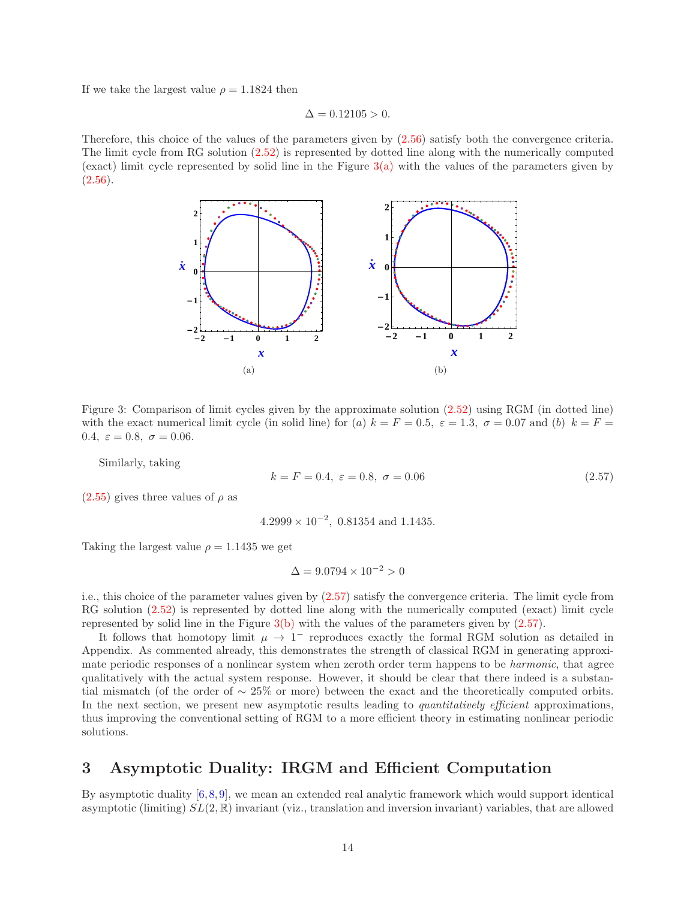If we take the largest value  $\rho = 1.1824$  then

 $\Delta = 0.12105 > 0.$ 

<span id="page-13-1"></span>Therefore, this choice of the values of the parameters given by [\(2.56\)](#page-12-4) satisfy both the convergence criteria. The limit cycle from RG solution [\(2.52\)](#page-12-5) is represented by dotted line along with the numerically computed (exact) limit cycle represented by solid line in the Figure  $3(a)$  with the values of the parameters given by  $(2.56).$  $(2.56).$ 



Figure 3: Comparison of limit cycles given by the approximate solution [\(2.52\)](#page-12-5) using RGM (in dotted line) with the exact numerical limit cycle (in solid line) for (a)  $k = F = 0.5$ ,  $\varepsilon = 1.3$ ,  $\sigma = 0.07$  and (b)  $k = F =$ 0.4,  $\varepsilon = 0.8$ ,  $\sigma = 0.06$ .

Similarly, taking

<span id="page-13-3"></span><span id="page-13-2"></span>
$$
k = F = 0.4, \ \varepsilon = 0.8, \ \sigma = 0.06 \tag{2.57}
$$

 $(2.55)$  gives three values of  $\rho$  as

$$
4.2999 \times 10^{-2}
$$
, 0.81354 and 1.1435.

Taking the largest value  $\rho = 1.1435$  we get

$$
\Delta = 9.0794 \times 10^{-2} > 0
$$

i.e., this choice of the parameter values given by [\(2.57\)](#page-13-2) satisfy the convergence criteria. The limit cycle from RG solution [\(2.52\)](#page-12-5) is represented by dotted line along with the numerically computed (exact) limit cycle represented by solid line in the Figure [3\(b\)](#page-13-3) with the values of the parameters given by [\(2.57\)](#page-13-2).

It follows that homotopy limit  $\mu \to 1^-$  reproduces exactly the formal RGM solution as detailed in Appendix. As commented already, this demonstrates the strength of classical RGM in generating approximate periodic responses of a nonlinear system when zeroth order term happens to be harmonic, that agree qualitatively with the actual system response. However, it should be clear that there indeed is a substantial mismatch (of the order of  $\sim 25\%$  or more) between the exact and the theoretically computed orbits. In the next section, we present new asymptotic results leading to *quantitatively efficient* approximations, thus improving the conventional setting of RGM to a more efficient theory in estimating nonlinear periodic solutions.

# <span id="page-13-0"></span>3 Asymptotic Duality: IRGM and Efficient Computation

By asymptotic duality [\[6,](#page-26-3)[8,](#page-26-15)[9\]](#page-26-4), we mean an extended real analytic framework which would support identical asymptotic (limiting)  $SL(2,\mathbb{R})$  invariant (viz., translation and inversion invariant) variables, that are allowed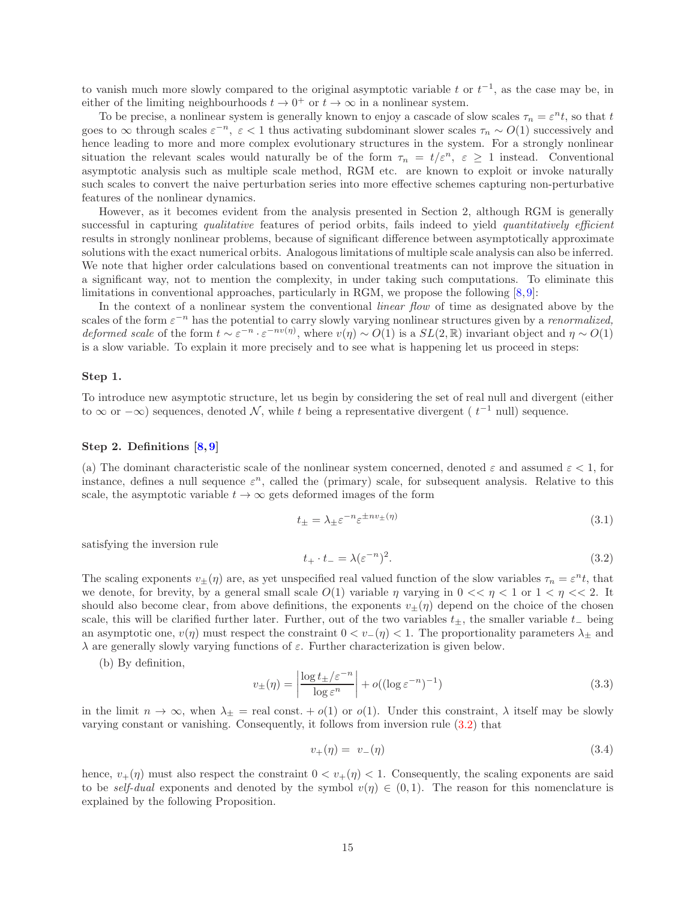to vanish much more slowly compared to the original asymptotic variable t or  $t^{-1}$ , as the case may be, in either of the limiting neighbourhoods  $t \to 0^+$  or  $t \to \infty$  in a nonlinear system.

To be precise, a nonlinear system is generally known to enjoy a cascade of slow scales  $\tau_n = \varepsilon^n t$ , so that t goes to  $\infty$  through scales  $\varepsilon^{-n}$ ,  $\varepsilon$  < 1 thus activating subdominant slower scales  $\tau_n \sim O(1)$  successively and hence leading to more and more complex evolutionary structures in the system. For a strongly nonlinear situation the relevant scales would naturally be of the form  $\tau_n = t/\varepsilon^n$ ,  $\varepsilon \geq 1$  instead. Conventional asymptotic analysis such as multiple scale method, RGM etc. are known to exploit or invoke naturally such scales to convert the naive perturbation series into more effective schemes capturing non-perturbative features of the nonlinear dynamics.

However, as it becomes evident from the analysis presented in Section 2, although RGM is generally successful in capturing qualitative features of period orbits, fails indeed to yield quantitatively efficient results in strongly nonlinear problems, because of significant difference between asymptotically approximate solutions with the exact numerical orbits. Analogous limitations of multiple scale analysis can also be inferred. We note that higher order calculations based on conventional treatments can not improve the situation in a significant way, not to mention the complexity, in under taking such computations. To eliminate this limitations in conventional approaches, particularly in RGM, we propose the following  $[8, 9]$  $[8, 9]$ :

In the context of a nonlinear system the conventional *linear flow* of time as designated above by the scales of the form  $\varepsilon^{-n}$  has the potential to carry slowly varying nonlinear structures given by a *renormalized*, *deformed scale* of the form  $t \sim \varepsilon^{-n} \cdot \varepsilon^{-nv(\eta)}$ , where  $v(\eta) \sim O(1)$  is a  $SL(2,\mathbb{R})$  invariant object and  $\eta \sim O(1)$ is a slow variable. To explain it more precisely and to see what is happening let us proceed in steps:

#### Step 1.

To introduce new asymptotic structure, let us begin by considering the set of real null and divergent (either to  $\infty$  or  $-\infty$ ) sequences, denoted N, while t being a representative divergent ( $t^{-1}$  null) sequence.

### Step 2. Definitions [\[8,](#page-26-15) [9\]](#page-26-4)

(a) The dominant characteristic scale of the nonlinear system concerned, denoted  $\varepsilon$  and assumed  $\varepsilon$  < 1, for instance, defines a null sequence  $\varepsilon^n$ , called the (primary) scale, for subsequent analysis. Relative to this scale, the asymptotic variable  $t \to \infty$  gets deformed images of the form

$$
t_{\pm} = \lambda_{\pm} \varepsilon^{-n} \varepsilon^{\pm nv_{\pm}(\eta)} \tag{3.1}
$$

satisfying the inversion rule

<span id="page-14-0"></span>
$$
t_+ \cdot t_- = \lambda (\varepsilon^{-n})^2. \tag{3.2}
$$

The scaling exponents  $v_{\pm}(\eta)$  are, as yet unspecified real valued function of the slow variables  $\tau_n = \varepsilon^n t$ , that we denote, for brevity, by a general small scale  $O(1)$  variable  $\eta$  varying in  $0 \ll \eta \ll 1$  or  $1 \ll \eta \ll 2$ . It should also become clear, from above definitions, the exponents  $v_{\pm}(\eta)$  depend on the choice of the chosen scale, this will be clarified further later. Further, out of the two variables  $t_{\pm}$ , the smaller variable  $t_{-}$  being an asymptotic one,  $v(\eta)$  must respect the constraint  $0 < v_-(\eta) < 1$ . The proportionality parameters  $\lambda_{\pm}$  and  $\lambda$  are generally slowly varying functions of  $\varepsilon$ . Further characterization is given below.

(b) By definition,

<span id="page-14-1"></span>
$$
v_{\pm}(\eta) = \left| \frac{\log t_{\pm} / \varepsilon^{-n}}{\log \varepsilon^{n}} \right| + o((\log \varepsilon^{-n})^{-1})
$$
\n(3.3)

in the limit  $n \to \infty$ , when  $\lambda_{\pm}$  = real const. +  $o(1)$  or  $o(1)$ . Under this constraint,  $\lambda$  itself may be slowly varying constant or vanishing. Consequently, it follows from inversion rule [\(3.2\)](#page-14-0) that

$$
v_{+}(\eta) = v_{-}(\eta) \tag{3.4}
$$

hence,  $v_{+}(\eta)$  must also respect the constraint  $0 < v_{+}(\eta) < 1$ . Consequently, the scaling exponents are said to be self-dual exponents and denoted by the symbol  $v(\eta) \in (0,1)$ . The reason for this nomenclature is explained by the following Proposition.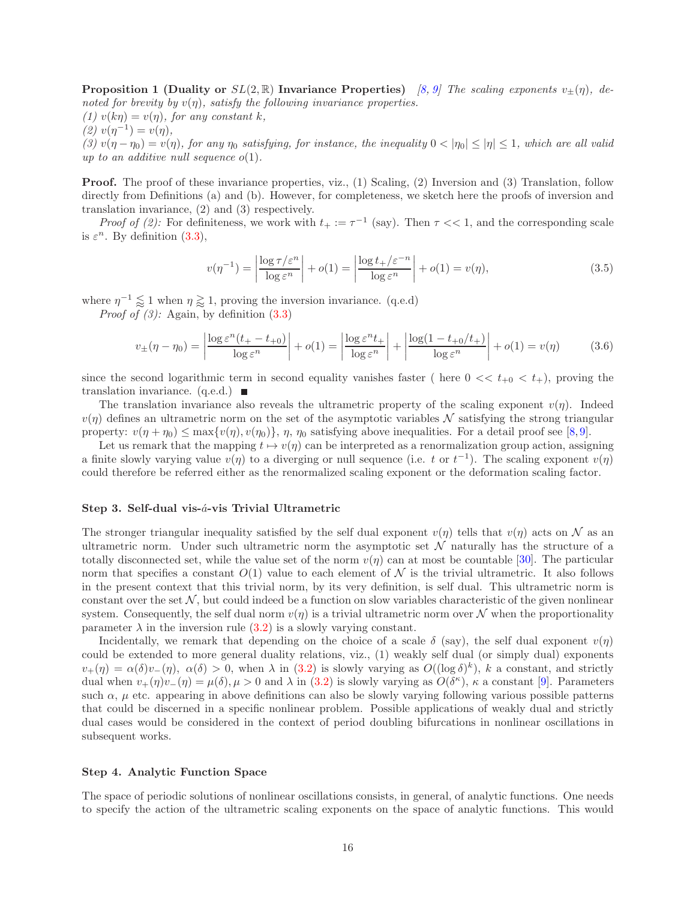**Proposition 1 (Duality or**  $SL(2,\mathbb{R})$  **Invariance Properties)** [\[8,](#page-26-15) [9\]](#page-26-4) The scaling exponents  $v_{\pm}(\eta)$ , denoted for brevity by  $v(\eta)$ , satisfy the following invariance properties. (1)  $v(k\eta) = v(\eta)$ , for any constant k, (2)  $v(\eta^{-1}) = v(\eta)$ ,

(3)  $v(\eta - \eta_0) = v(\eta)$ , for any  $\eta_0$  satisfying, for instance, the inequality  $0 < |\eta_0| \le |\eta| \le 1$ , which are all valid up to an additive null sequence  $o(1)$ .

**Proof.** The proof of these invariance properties, viz., (1) Scaling, (2) Inversion and (3) Translation, follow directly from Definitions (a) and (b). However, for completeness, we sketch here the proofs of inversion and translation invariance, (2) and (3) respectively.

*Proof of (2):* For definiteness, we work with  $t_{+} := \tau^{-1}$  (say). Then  $\tau \ll 1$ , and the corresponding scale is  $\varepsilon^n$ . By definition [\(3.3\)](#page-14-1),

$$
v(\eta^{-1}) = \left| \frac{\log \tau / \varepsilon^n}{\log \varepsilon^n} \right| + o(1) = \left| \frac{\log t + \varepsilon^{-n}}{\log \varepsilon^n} \right| + o(1) = v(\eta), \tag{3.5}
$$

where  $\eta^{-1} \lessapprox 1$  when  $\eta \gtrsim 1$ , proving the inversion invariance. (q.e.d)

*Proof of (3)*: Again, by definition  $(3.3)$ 

$$
v_{\pm}(\eta - \eta_0) = \left| \frac{\log \varepsilon^n (t_+ - t_{+0})}{\log \varepsilon^n} \right| + o(1) = \left| \frac{\log \varepsilon^n t_+}{\log \varepsilon^n} \right| + \left| \frac{\log (1 - t_{+0}/t_+)}{\log \varepsilon^n} \right| + o(1) = v(\eta) \tag{3.6}
$$

since the second logarithmic term in second equality vanishes faster ( here  $0 \ll t_{+0} \ll t_{+}$ ), proving the translation invariance. (q.e.d.)  $\blacksquare$ 

The translation invariance also reveals the ultrametric property of the scaling exponent  $v(\eta)$ . Indeed  $v(\eta)$  defines an ultrametric norm on the set of the asymptotic variables N satisfying the strong triangular property:  $v(\eta + \eta_0) \le \max\{v(\eta), v(\eta_0)\}\$ ,  $\eta$ ,  $\eta_0$  satisfying above inequalities. For a detail proof see [\[8,](#page-26-15)[9\]](#page-26-4).

Let us remark that the mapping  $t \mapsto v(\eta)$  can be interpreted as a renormalization group action, assigning a finite slowly varying value  $v(\eta)$  to a diverging or null sequence (i.e. t or  $t^{-1}$ ). The scaling exponent  $v(\eta)$ could therefore be referred either as the renormalized scaling exponent or the deformation scaling factor.

#### Step 3. Self-dual vis- $\acute{a}$ -vis Trivial Ultrametric

The stronger triangular inequality satisfied by the self dual exponent  $v(\eta)$  tells that  $v(\eta)$  acts on N as an ultrametric norm. Under such ultrametric norm the asymptotic set  $\mathcal N$  naturally has the structure of a totally disconnected set, while the value set of the norm  $v(\eta)$  can at most be countable [\[30\]](#page-27-13). The particular norm that specifies a constant  $O(1)$  value to each element of N is the trivial ultrametric. It also follows in the present context that this trivial norm, by its very definition, is self dual. This ultrametric norm is constant over the set  $\mathcal{N}$ , but could indeed be a function on slow variables characteristic of the given nonlinear system. Consequently, the self dual norm  $v(\eta)$  is a trivial ultrametric norm over N when the proportionality parameter  $\lambda$  in the inversion rule  $(3.2)$  is a slowly varying constant.

Incidentally, we remark that depending on the choice of a scale  $\delta$  (say), the self dual exponent  $v(\eta)$ could be extended to more general duality relations, viz., (1) weakly self dual (or simply dual) exponents  $v_+(\eta) = \alpha(\delta)v_-(\eta)$ ,  $\alpha(\delta) > 0$ , when  $\lambda$  in [\(3.2\)](#page-14-0) is slowly varying as  $O((\log \delta)^k)$ , k a constant, and strictly dual when  $v_{+}(\eta)v_{-}(\eta) = \mu(\delta), \mu > 0$  and  $\lambda$  in [\(3.2\)](#page-14-0) is slowly varying as  $O(\delta^{\kappa})$ ,  $\kappa$  a constant [\[9\]](#page-26-4). Parameters such  $\alpha$ ,  $\mu$  etc. appearing in above definitions can also be slowly varying following various possible patterns that could be discerned in a specific nonlinear problem. Possible applications of weakly dual and strictly dual cases would be considered in the context of period doubling bifurcations in nonlinear oscillations in subsequent works.

#### Step 4. Analytic Function Space

The space of periodic solutions of nonlinear oscillations consists, in general, of analytic functions. One needs to specify the action of the ultrametric scaling exponents on the space of analytic functions. This would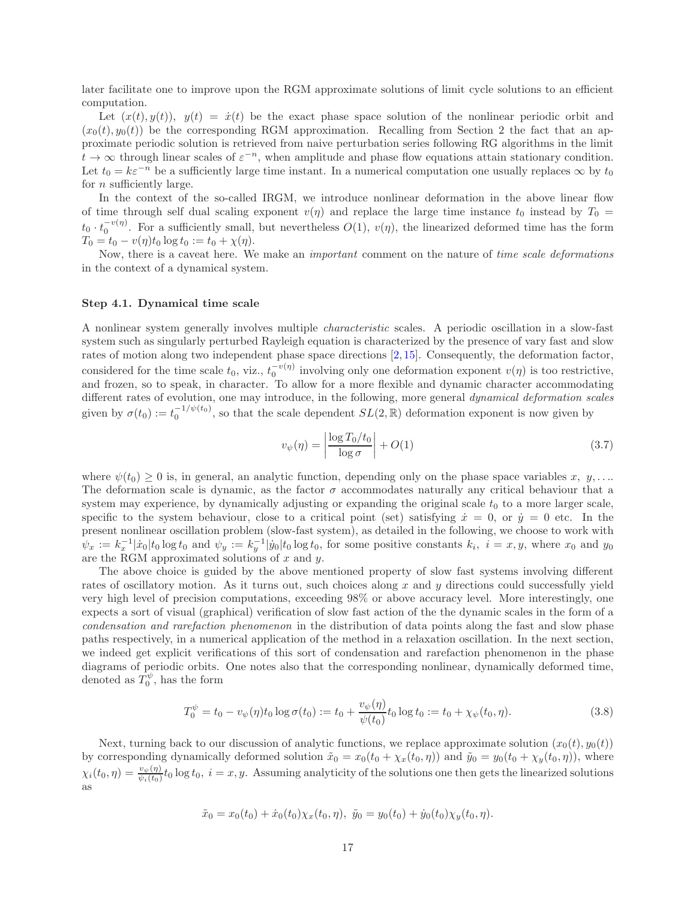later facilitate one to improve upon the RGM approximate solutions of limit cycle solutions to an efficient computation.

Let  $(x(t), y(t))$ ,  $y(t) = \dot{x}(t)$  be the exact phase space solution of the nonlinear periodic orbit and  $(x_0(t), y_0(t))$  be the corresponding RGM approximation. Recalling from Section 2 the fact that an approximate periodic solution is retrieved from naive perturbation series following RG algorithms in the limit  $t \to \infty$  through linear scales of  $\varepsilon^{-n}$ , when amplitude and phase flow equations attain stationary condition. Let  $t_0 = k\varepsilon^{-n}$  be a sufficiently large time instant. In a numerical computation one usually replaces  $\infty$  by  $t_0$ for *n* sufficiently large.

In the context of the so-called IRGM, we introduce nonlinear deformation in the above linear flow of time through self dual scaling exponent  $v(\eta)$  and replace the large time instance t<sub>0</sub> instead by  $T_0 =$  $t_0 \cdot t_0^{-v(\eta)}$ . For a sufficiently small, but nevertheless  $O(1)$ ,  $v(\eta)$ , the linearized deformed time has the form  $T_0 = t_0 - v(\eta)t_0 \log t_0 := t_0 + \chi(\eta).$ 

Now, there is a caveat here. We make an *important* comment on the nature of *time scale deformations* in the context of a dynamical system.

### Step 4.1. Dynamical time scale

A nonlinear system generally involves multiple characteristic scales. A periodic oscillation in a slow-fast system such as singularly perturbed Rayleigh equation is characterized by the presence of vary fast and slow rates of motion along two independent phase space directions [\[2,](#page-26-9) [15\]](#page-26-12). Consequently, the deformation factor, considered for the time scale  $t_0$ , viz.,  $t_0^{-v(\eta)}$  involving only one deformation exponent  $v(\eta)$  is too restrictive, and frozen, so to speak, in character. To allow for a more flexible and dynamic character accommodating different rates of evolution, one may introduce, in the following, more general *dynamical deformation scales* given by  $\sigma(t_0) := t_0^{-1/\psi(t_0)}$ , so that the scale dependent  $SL(2,\mathbb{R})$  deformation exponent is now given by

<span id="page-16-0"></span>
$$
v_{\psi}(\eta) = \left| \frac{\log T_0 / t_0}{\log \sigma} \right| + O(1)
$$
\n(3.7)

where  $\psi(t_0) \geq 0$  is, in general, an analytic function, depending only on the phase space variables x,  $y, \ldots$ The deformation scale is dynamic, as the factor  $\sigma$  accommodates naturally any critical behaviour that a system may experience, by dynamically adjusting or expanding the original scale  $t_0$  to a more larger scale, specific to the system behaviour, close to a critical point (set) satisfying  $\dot{x} = 0$ , or  $\dot{y} = 0$  etc. In the present nonlinear oscillation problem (slow-fast system), as detailed in the following, we choose to work with  $\psi_x := k_x^{-1} |\dot{x}_0| t_0 \log t_0$  and  $\psi_y := k_y^{-1} |\dot{y}_0| t_0 \log t_0$ , for some positive constants  $k_i$ ,  $i = x, y$ , where  $x_0$  and  $y_0$ are the RGM approximated solutions of  $x$  and  $y$ .

The above choice is guided by the above mentioned property of slow fast systems involving different rates of oscillatory motion. As it turns out, such choices along  $x$  and  $y$  directions could successfully yield very high level of precision computations, exceeding 98% or above accuracy level. More interestingly, one expects a sort of visual (graphical) verification of slow fast action of the the dynamic scales in the form of a condensation and rarefaction phenomenon in the distribution of data points along the fast and slow phase paths respectively, in a numerical application of the method in a relaxation oscillation. In the next section, we indeed get explicit verifications of this sort of condensation and rarefaction phenomenon in the phase diagrams of periodic orbits. One notes also that the corresponding nonlinear, dynamically deformed time, denoted as  $\bar{T}_0^{\psi}$ , has the form

$$
T_0^{\psi} = t_0 - v_{\psi}(\eta)t_0 \log \sigma(t_0) := t_0 + \frac{v_{\psi}(\eta)}{\psi(t_0)} t_0 \log t_0 := t_0 + \chi_{\psi}(t_0, \eta).
$$
 (3.8)

Next, turning back to our discussion of analytic functions, we replace approximate solution  $(x_0(t), y_0(t))$ by corresponding dynamically deformed solution  $\tilde{x}_0 = x_0(t_0 + \chi_x(t_0, \eta))$  and  $\tilde{y}_0 = y_0(t_0 + \chi_y(t_0, \eta))$ , where  $\chi_i(t_0, \eta) = \frac{v_\psi(\eta)}{\psi_i(t_0)} t_0 \log t_0$ ,  $i = x, y$ . Assuming analyticity of the solutions one then gets the linearized solutions as

$$
\tilde{x}_0 = x_0(t_0) + \dot{x}_0(t_0) \chi_x(t_0, \eta), \ \tilde{y}_0 = y_0(t_0) + \dot{y}_0(t_0) \chi_y(t_0, \eta).
$$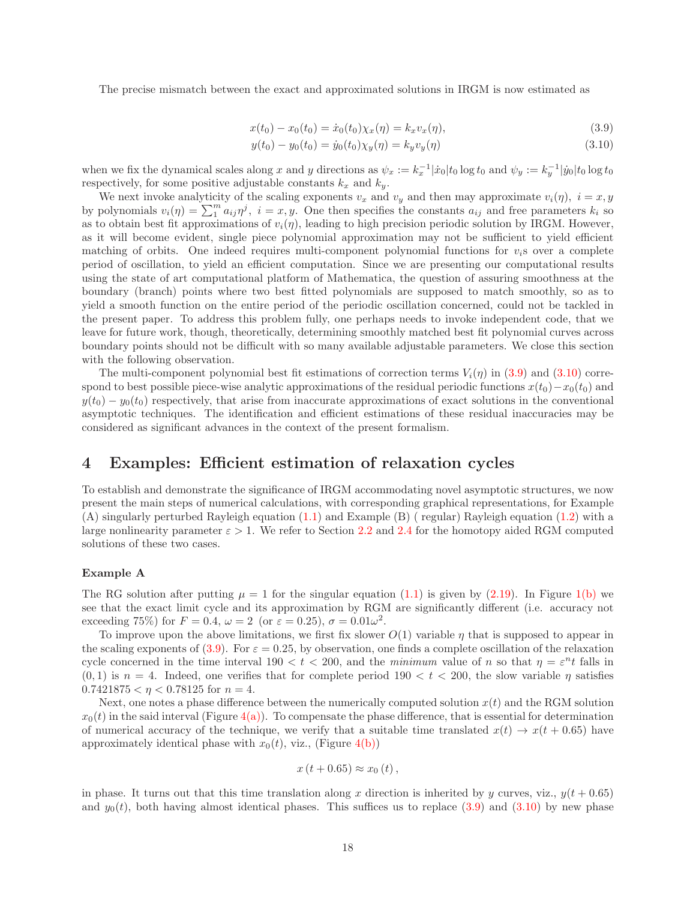The precise mismatch between the exact and approximated solutions in IRGM is now estimated as

$$
x(t_0) - x_0(t_0) = \dot{x}_0(t_0) \chi_x(\eta) = k_x v_x(\eta), \tag{3.9}
$$

<span id="page-17-2"></span><span id="page-17-1"></span>
$$
y(t_0) - y_0(t_0) = \dot{y}_0(t_0) \chi_y(\eta) = k_y v_y(\eta)
$$
\n(3.10)

when we fix the dynamical scales along x and y directions as  $\psi_x := k_x^{-1} |\dot{x}_0| t_0 \log t_0$  and  $\psi_y := k_y^{-1} |\dot{y}_0| t_0 \log t_0$ respectively, for some positive adjustable constants  $k_x$  and  $k_y$ .

We next invoke analyticity of the scaling exponents  $v_x$  and  $v_y$  and then may approximate  $v_i(\eta)$ ,  $i = x, y$ by polynomials  $v_i(\eta) = \sum_{i=1}^{m} a_{ij} \eta^j$ ,  $i = x, y$ . One then specifies the constants  $a_{ij}$  and free parameters  $k_i$  so as to obtain best fit approximations of  $v_i(\eta)$ , leading to high precision periodic solution by IRGM. However, as it will become evident, single piece polynomial approximation may not be sufficient to yield efficient matching of orbits. One indeed requires multi-component polynomial functions for  $v_i$ s over a complete period of oscillation, to yield an efficient computation. Since we are presenting our computational results using the state of art computational platform of Mathematica, the question of assuring smoothness at the boundary (branch) points where two best fitted polynomials are supposed to match smoothly, so as to yield a smooth function on the entire period of the periodic oscillation concerned, could not be tackled in the present paper. To address this problem fully, one perhaps needs to invoke independent code, that we leave for future work, though, theoretically, determining smoothly matched best fit polynomial curves across boundary points should not be difficult with so many available adjustable parameters. We close this section with the following observation.

The multi-component polynomial best fit estimations of correction terms  $V_i(\eta)$  in [\(3.9\)](#page-17-1) and [\(3.10\)](#page-17-2) correspond to best possible piece-wise analytic approximations of the residual periodic functions  $x(t_0)-x_0(t_0)$  and  $y(t_0) - y_0(t_0)$  respectively, that arise from inaccurate approximations of exact solutions in the conventional asymptotic techniques. The identification and efficient estimations of these residual inaccuracies may be considered as significant advances in the context of the present formalism.

# <span id="page-17-0"></span>4 Examples: Efficient estimation of relaxation cycles

To establish and demonstrate the significance of IRGM accommodating novel asymptotic structures, we now present the main steps of numerical calculations, with corresponding graphical representations, for Example (A) singularly perturbed Rayleigh equation [\(1.1\)](#page-0-0) and Example (B) ( regular) Rayleigh equation [\(1.2\)](#page-1-0) with a large nonlinearity parameter  $\varepsilon > 1$ . We refer to Section [2.2](#page-6-0) and [2.4](#page-11-0) for the homotopy aided RGM computed solutions of these two cases.

### Example A

The RG solution after putting  $\mu = 1$  for the singular equation [\(1.1\)](#page-0-0) is given by [\(2.19\)](#page-7-2). In Figure [1\(b\)](#page-8-3) we see that the exact limit cycle and its approximation by RGM are significantly different (i.e. accuracy not exceeding 75%) for  $F = 0.4$ ,  $\omega = 2$  (or  $\varepsilon = 0.25$ ),  $\sigma = 0.01\omega^2$ .

To improve upon the above limitations, we first fix slower  $O(1)$  variable  $\eta$  that is supposed to appear in the scaling exponents of [\(3.9\)](#page-17-1). For  $\varepsilon = 0.25$ , by observation, one finds a complete oscillation of the relaxation cycle concerned in the time interval  $190 < t < 200$ , and the minimum value of n so that  $\eta = \varepsilon^n t$  falls in  $(0, 1)$  is  $n = 4$ . Indeed, one verifies that for complete period  $190 < t < 200$ , the slow variable  $\eta$  satisfies  $0.7421875 < \eta < 0.78125$  for  $n = 4$ .

Next, one notes a phase difference between the numerically computed solution  $x(t)$  and the RGM solution  $x_0(t)$  in the said interval (Figure [4\(a\)\)](#page-18-0). To compensate the phase difference, that is essential for determination of numerical accuracy of the technique, we verify that a suitable time translated  $x(t) \rightarrow x(t + 0.65)$  have approximately identical phase with  $x_0(t)$ , viz., (Figure [4\(b\)\)](#page-18-1)

$$
x(t+0.65) \approx x_0(t),
$$

in phase. It turns out that this time translation along x direction is inherited by y curves, viz.,  $y(t + 0.65)$ and  $y_0(t)$ , both having almost identical phases. This suffices us to replace [\(3.9\)](#page-17-1) and [\(3.10\)](#page-17-2) by new phase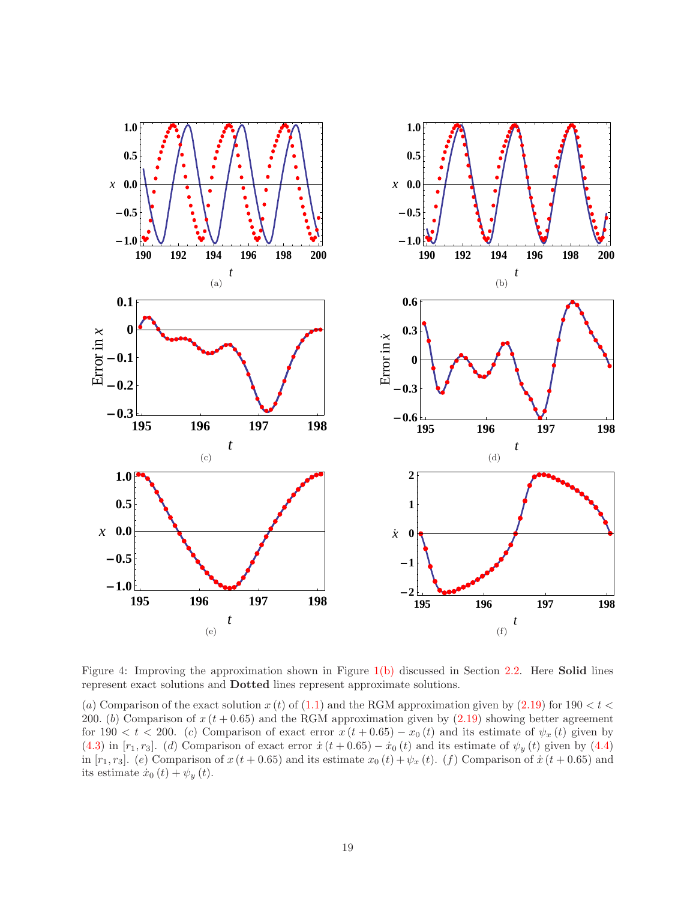<span id="page-18-1"></span><span id="page-18-0"></span>

<span id="page-18-6"></span><span id="page-18-5"></span><span id="page-18-4"></span><span id="page-18-3"></span><span id="page-18-2"></span>Figure 4: Improving the approximation shown in Figure  $1(b)$  discussed in Section [2.2.](#page-6-0) Here **Solid** lines represent exact solutions and Dotted lines represent approximate solutions.

(a) Comparison of the exact solution  $x(t)$  of [\(1.1\)](#page-0-0) and the RGM approximation given by [\(2.19\)](#page-7-2) for 190  $< t <$ 200. (b) Comparison of  $x(t + 0.65)$  and the RGM approximation given by  $(2.19)$  showing better agreement for 190 < t < 200. (c) Comparison of exact error  $x(t + 0.65) - x_0(t)$  and its estimate of  $\psi_x(t)$  given by [\(4.3\)](#page-19-0) in [ $r_1, r_3$ ]. (d) Comparison of exact error  $\dot{x}$  ( $t + 0.65$ ) –  $\dot{x}_0$  ( $t$ ) and its estimate of  $\psi_y$  ( $t$ ) given by [\(4.4\)](#page-19-1) in  $[r_1, r_3]$ . (e) Comparison of  $x(t + 0.65)$  and its estimate  $x_0(t) + \psi_x(t)$ . (f) Comparison of  $\dot{x}(t + 0.65)$  and its estimate  $\dot{x}_0(t) + \psi_y(t)$ .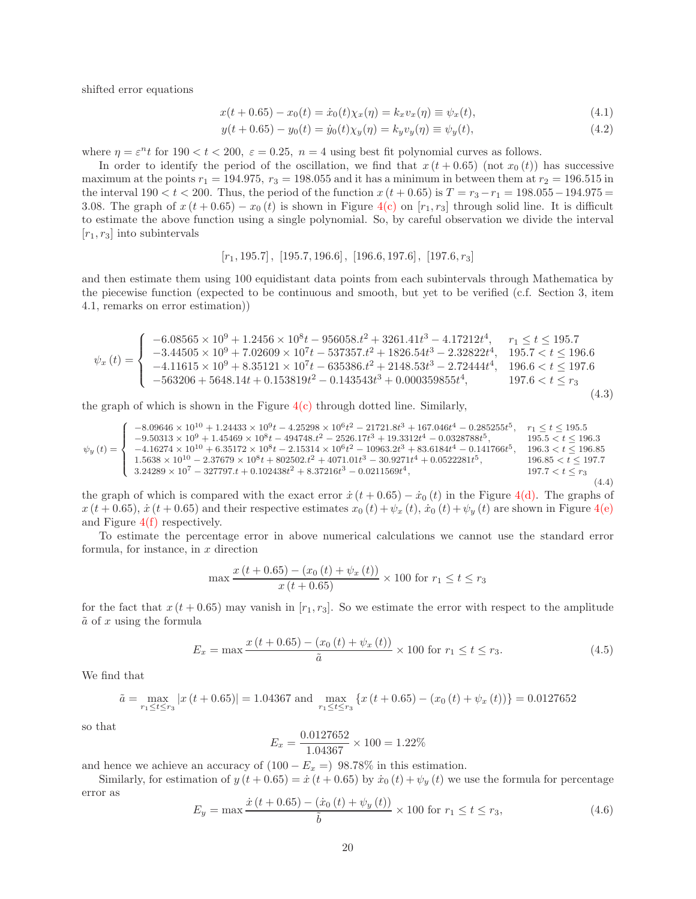shifted error equations

$$
x(t + 0.65) - x_0(t) = \dot{x}_0(t)\chi_x(\eta) = k_x v_x(\eta) \equiv \psi_x(t), \tag{4.1}
$$

$$
y(t + 0.65) - y_0(t) = \dot{y}_0(t)\chi_y(\eta) = k_y v_y(\eta) \equiv \psi_y(t), \tag{4.2}
$$

where  $\eta = \varepsilon^n t$  for  $190 < t < 200$ ,  $\varepsilon = 0.25$ ,  $n = 4$  using best fit polynomial curves as follows.

In order to identify the period of the oscillation, we find that  $x(t + 0.65)$  (not  $x<sub>0</sub>(t)$ ) has successive maximum at the points  $r_1 = 194.975$ ,  $r_3 = 198.055$  and it has a minimum in between them at  $r_2 = 196.515$  in the interval  $190 < t < 200$ . Thus, the period of the function  $x (t + 0.65)$  is  $T = r_3 - r_1 = 198.055 - 194.975 =$ 3.08. The graph of  $x(t + 0.65) - x_0(t)$  is shown in Figure [4\(c\)](#page-18-2) on  $[r_1, r_3]$  through solid line. It is difficult to estimate the above function using a single polynomial. So, by careful observation we divide the interval  $[r_1, r_3]$  into subintervals

$$
[r_1, 195.7], [195.7, 196.6], [196.6, 197.6], [197.6, r_3]
$$

and then estimate them using 100 equidistant data points from each subintervals through Mathematica by the piecewise function (expected to be continuous and smooth, but yet to be verified (c.f. Section 3, item 4.1, remarks on error estimation))

<span id="page-19-0"></span>
$$
\psi_x(t) = \begin{cases}\n-6.08565 \times 10^9 + 1.2456 \times 10^8 t - 956058 \cdot t^2 + 3261 \cdot 41t^3 - 4.17212t^4, & r_1 \le t \le 195.7 \\
-3.44505 \times 10^9 + 7.02609 \times 10^7 t - 537357 \cdot t^2 + 1826 \cdot 54t^3 - 2.32822t^4, & 195.7 < t \le 196.6 \\
-4.11615 \times 10^9 + 8.35121 \times 10^7 t - 635386 \cdot t^2 + 2148 \cdot 53t^3 - 2.72444t^4, & 196.6 < t \le 197.6 \\
-563206 + 5648 \cdot 14t + 0.153819t^2 - 0.143543t^3 + 0.000359855t^4, & 197.6 < t \le r_3\n\end{cases}
$$
\n
$$
(4.3)
$$

the graph of which is shown in the Figure  $4(c)$  through dotted line. Similarly,

<span id="page-19-1"></span>
$$
\psi_y(t) = \begin{cases}\n-8.09646 \times 10^{10} + 1.24433 \times 10^9 t - 4.25298 \times 10^6 t^2 - 21721.8t^3 + 167.046t^4 - 0.285255t^5, & r_1 \le t \le 195.5 \\
-9.50313 \times 10^9 + 1.45469 \times 10^8 t - 494748.t^2 - 2526.17t^3 + 19.3312t^4 - 0.0328788t^5, & 195.5 < t \le 196.3 \\
-4.16274 \times 10^{10} + 6.35172 \times 10^8 t - 2.15314 \times 10^6 t^2 - 10963.2t^3 + 83.6184t^4 - 0.141766t^5, & 196.3 < t \le 196.85 \\
1.5638 \times 10^{10} - 2.37679 \times 10^8 t + 802502.t^2 + 4071.01t^3 - 30.9271t^4 + 0.0522281t^5, & 196.85 < t \le 197.7 \\
3.24289 \times 10^7 - 327797.t + 0.102438t^2 + 8.37216t^3 - 0.0211569t^4, & 197.7 < t \le r_3\n\end{cases}
$$
\n
$$
(4.4)
$$

the graph of which is compared with the exact error  $\dot{x}$  (t + 0.65) –  $\dot{x}_0$  (t) in the Figure [4\(d\).](#page-18-3) The graphs of  $x(t+0.65), \dot{x}(t+0.65)$  and their respective estimates  $x_0(t) + \psi_x(t), \dot{x}_0(t) + \psi_y(t)$  are shown in Figure [4\(e\)](#page-18-4) and Figure [4\(f\)](#page-18-5) respectively.

To estimate the percentage error in above numerical calculations we cannot use the standard error formula, for instance, in  $x$  direction

$$
\max \frac{x(t + 0.65) - (x_0(t) + \psi_x(t))}{x(t + 0.65)} \times 100 \text{ for } r_1 \le t \le r_3
$$

for the fact that  $x (t + 0.65)$  may vanish in  $[r_1, r_3]$ . So we estimate the error with respect to the amplitude  $\tilde{a}$  of x using the formula

<span id="page-19-2"></span>
$$
E_x = \max \frac{x(t + 0.65) - (x_0(t) + \psi_x(t))}{\tilde{a}} \times 100 \text{ for } r_1 \le t \le r_3.
$$
 (4.5)

We find that

$$
\tilde{a} = \max_{r_1 \le t \le r_3} |x(t + 0.65)| = 1.04367 \text{ and } \max_{r_1 \le t \le r_3} \{x(t + 0.65) - (x_0(t) + \psi_x(t))\} = 0.0127652
$$

so that

$$
E_x = \frac{0.0127652}{1.04367} \times 100 = 1.22\%
$$

and hence we achieve an accuracy of  $(100 - E_x = 98.78\%$  in this estimation.

Similarly, for estimation of  $y(t + 0.65) = \dot{x}(t + 0.65)$  by  $\dot{x}_0(t) + \psi_y(t)$  we use the formula for percentage error as  $x^2 + (t + 0.65) + (t + 0.65)$ 

<span id="page-19-3"></span>
$$
E_y = \max \frac{\dot{x}(t + 0.65) - (\dot{x}_0(t) + \psi_y(t))}{\tilde{b}} \times 100 \text{ for } r_1 \le t \le r_3,
$$
\n(4.6)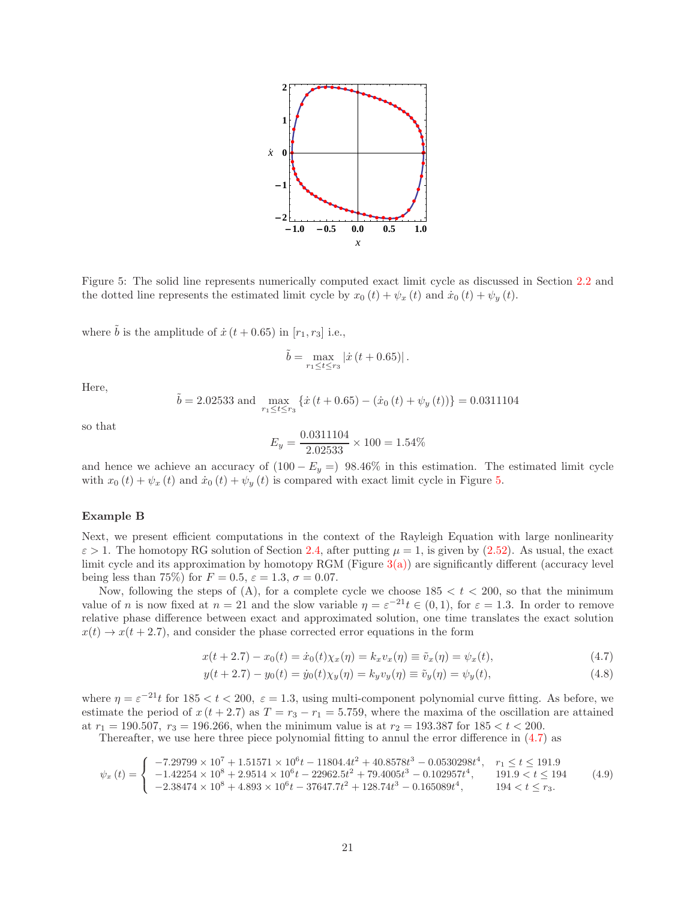

<span id="page-20-0"></span>Figure 5: The solid line represents numerically computed exact limit cycle as discussed in Section [2.2](#page-6-0) and the dotted line represents the estimated limit cycle by  $x_0(t) + \psi_x(t)$  and  $\dot{x}_0(t) + \psi_y(t)$ .

where  $\tilde{b}$  is the amplitude of  $\dot{x}$  (t + 0.65) in [r<sub>1</sub>, r<sub>3</sub>] i.e.,

$$
\tilde{b} = \max_{r_1 \le t \le r_3} |\dot{x}(t + 0.65)|.
$$

Here,

$$
\tilde{b} = 2.02533
$$
 and  $\max_{r_1 \le t \le r_3} \{ \dot{x} (t + 0.65) - (\dot{x}_0 (t) + \psi_y (t)) \} = 0.0311104$ 

so that

<span id="page-20-1"></span>
$$
E_y = \frac{0.0311104}{2.02533} \times 100 = 1.54\%
$$

and hence we achieve an accuracy of  $(100 - E_y = 98.46\%$  in this estimation. The estimated limit cycle with  $x_0(t) + \psi_x(t)$  and  $\dot{x}_0(t) + \psi_y(t)$  is compared with exact limit cycle in Figure [5.](#page-20-0)

### Example B

Next, we present efficient computations in the context of the Rayleigh Equation with large nonlinearity  $\varepsilon > 1$ . The homotopy RG solution of Section [2.4,](#page-11-0) after putting  $\mu = 1$ , is given by [\(2.52\)](#page-12-5). As usual, the exact limit cycle and its approximation by homotopy RGM (Figure  $3(a)$ ) are significantly different (accuracy level being less than 75%) for  $F = 0.5$ ,  $\varepsilon = 1.3$ ,  $\sigma = 0.07$ .

Now, following the steps of (A), for a complete cycle we choose  $185 < t < 200$ , so that the minimum value of n is now fixed at  $n = 21$  and the slow variable  $\eta = \varepsilon^{-21} t \in (0,1)$ , for  $\varepsilon = 1.3$ . In order to remove relative phase difference between exact and approximated solution, one time translates the exact solution  $x(t) \rightarrow x(t + 2.7)$ , and consider the phase corrected error equations in the form

$$
x(t + 2.7) - x_0(t) = \dot{x}_0(t)\chi_x(\eta) = k_x v_x(\eta) \equiv \tilde{v}_x(\eta) = \psi_x(t),
$$
\n(4.7)

$$
y(t + 2.7) - y_0(t) = \dot{y}_0(t)\chi_y(\eta) = k_y v_y(\eta) \equiv \tilde{v}_y(\eta) = \psi_y(t),
$$
\n(4.8)

where  $\eta = \varepsilon^{-21} t$  for  $185 < t < 200$ ,  $\varepsilon = 1.3$ , using multi-component polynomial curve fitting. As before, we estimate the period of  $x(t + 2.7)$  as  $T = r_3 - r_1 = 5.759$ , where the maxima of the oscillation are attained at  $r_1 = 190.507$ ,  $r_3 = 196.266$ , when the minimum value is at  $r_2 = 193.387$  for  $185 < t < 200$ .

Thereafter, we use here three piece polynomial fitting to annul the error difference in [\(4.7\)](#page-20-1) as

<span id="page-20-2"></span>
$$
\psi_x(t) = \begin{cases}\n-7.29799 \times 10^7 + 1.51571 \times 10^6 t - 11804.4t^2 + 40.8578t^3 - 0.0530298t^4, & r_1 \le t \le 191.9 \\
-1.42254 \times 10^8 + 2.9514 \times 10^6 t - 22962.5t^2 + 79.4005t^3 - 0.102957t^4, & 191.9 < t \le 194 \\
-2.38474 \times 10^8 + 4.893 \times 10^6 t - 37647.7t^2 + 128.74t^3 - 0.165089t^4, & 194 < t \le r_3.\n\end{cases}
$$
\n(4.9)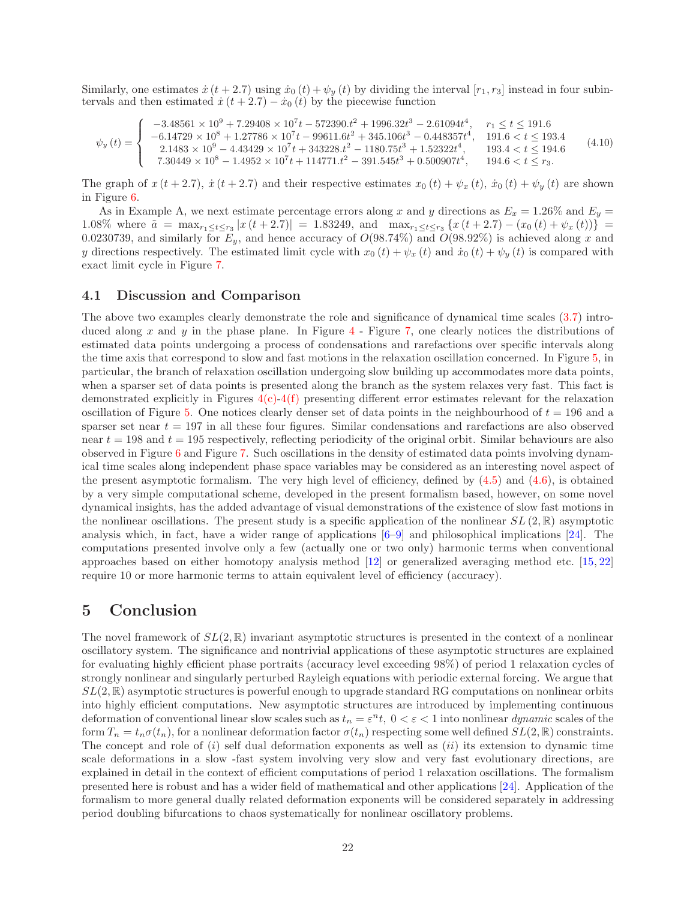Similarly, one estimates  $\dot{x}$  (t + 2.7) using  $\dot{x}_0$  (t) +  $\psi_y$  (t) by dividing the interval [r<sub>1</sub>, r<sub>3</sub>] instead in four subintervals and then estimated  $\dot{x}(t+2.7) - \dot{x}_0(t)$  by the piecewise function

<span id="page-21-2"></span>
$$
\psi_y(t) = \begin{cases}\n-3.48561 \times 10^9 + 7.29408 \times 10^7 t - 572390 \cdot t^2 + 1996.32 t^3 - 2.61094 t^4, & r_1 \le t \le 191.6 \\
-6.14729 \times 10^8 + 1.27786 \times 10^7 t - 99611.6 t^2 + 345.106 t^3 - 0.448357 t^4, & 191.6 < t \le 193.4 \\
2.1483 \times 10^9 - 4.43429 \times 10^7 t + 343228 \cdot t^2 - 1180.75 t^3 + 1.52322 t^4, & 193.4 < t \le 194.6 \\
7.30449 \times 10^8 - 1.4952 \times 10^7 t + 114771 \cdot t^2 - 391.545 t^3 + 0.500907 t^4, & 194.6 < t \le r_3.\n\end{cases} (4.10)
$$

The graph of  $x(t + 2.7)$ ,  $\dot{x}(t + 2.7)$  and their respective estimates  $x_0(t) + \psi_x(t)$ ,  $\dot{x}_0(t) + \psi_y(t)$  are shown in Figure [6.](#page-22-0)

As in Example A, we next estimate percentage errors along x and y directions as  $E_x = 1.26\%$  and  $E_y =$ 1.08% where  $\tilde{a} = \max_{r_1 \le t \le r_3} |x(t + 2.7)| = 1.83249$ , and  $\max_{r_1 \le t \le r_3} \{x(t + 2.7) - (x_0(t) + \psi_x(t))\}$ 0.0230739, and similarly for  $E_y$ , and hence accuracy of  $O(98.74\%)$  and  $O(98.92\%)$  is achieved along x and y directions respectively. The estimated limit cycle with  $x_0(t) + \psi_x(t)$  and  $\dot{x}_0(t) + \psi_y(t)$  is compared with exact limit cycle in Figure [7.](#page-23-0)

### <span id="page-21-0"></span>4.1 Discussion and Comparison

The above two examples clearly demonstrate the role and significance of dynamical time scales [\(3.7\)](#page-16-0) introduced along x and y in the phase plane. In Figure  $4$  - Figure [7,](#page-23-0) one clearly notices the distributions of estimated data points undergoing a process of condensations and rarefactions over specific intervals along the time axis that correspond to slow and fast motions in the relaxation oscillation concerned. In Figure [5,](#page-20-0) in particular, the branch of relaxation oscillation undergoing slow building up accommodates more data points, when a sparser set of data points is presented along the branch as the system relaxes very fast. This fact is demonstrated explicitly in Figures  $4(c)$ -[4\(f\)](#page-18-5) presenting different error estimates relevant for the relaxation oscillation of Figure [5.](#page-20-0) One notices clearly denser set of data points in the neighbourhood of  $t = 196$  and a sparser set near  $t = 197$  in all these four figures. Similar condensations and rarefactions are also observed near  $t = 198$  and  $t = 195$  respectively, reflecting periodicity of the original orbit. Similar behaviours are also observed in Figure [6](#page-22-0) and Figure [7.](#page-23-0) Such oscillations in the density of estimated data points involving dynamical time scales along independent phase space variables may be considered as an interesting novel aspect of the present asymptotic formalism. The very high level of efficiency, defined by [\(4.5\)](#page-19-2) and [\(4.6\)](#page-19-3), is obtained by a very simple computational scheme, developed in the present formalism based, however, on some novel dynamical insights, has the added advantage of visual demonstrations of the existence of slow fast motions in the nonlinear oscillations. The present study is a specific application of the nonlinear  $SL(2,\mathbb{R})$  asymptotic analysis which, in fact, have a wider range of applications  $[6-9]$  and philosophical implications  $[24]$ . The computations presented involve only a few (actually one or two only) harmonic terms when conventional approaches based on either homotopy analysis method [\[12\]](#page-26-7) or generalized averaging method etc. [\[15,](#page-26-12) [22\]](#page-27-5) require 10 or more harmonic terms to attain equivalent level of efficiency (accuracy).

# <span id="page-21-1"></span>5 Conclusion

The novel framework of  $SL(2,\mathbb{R})$  invariant asymptotic structures is presented in the context of a nonlinear oscillatory system. The significance and nontrivial applications of these asymptotic structures are explained for evaluating highly efficient phase portraits (accuracy level exceeding 98%) of period 1 relaxation cycles of strongly nonlinear and singularly perturbed Rayleigh equations with periodic external forcing. We argue that  $SL(2,\mathbb{R})$  asymptotic structures is powerful enough to upgrade standard RG computations on nonlinear orbits into highly efficient computations. New asymptotic structures are introduced by implementing continuous deformation of conventional linear slow scales such as  $t_n = \varepsilon^n t$ ,  $0 < \varepsilon < 1$  into nonlinear *dynamic* scales of the form  $T_n = t_n \sigma(t_n)$ , for a nonlinear deformation factor  $\sigma(t_n)$  respecting some well defined  $SL(2, \mathbb{R})$  constraints. The concept and role of  $(i)$  self dual deformation exponents as well as  $(ii)$  its extension to dynamic time scale deformations in a slow -fast system involving very slow and very fast evolutionary directions, are explained in detail in the context of efficient computations of period 1 relaxation oscillations. The formalism presented here is robust and has a wider field of mathematical and other applications [\[24\]](#page-27-7). Application of the formalism to more general dually related deformation exponents will be considered separately in addressing period doubling bifurcations to chaos systematically for nonlinear oscillatory problems.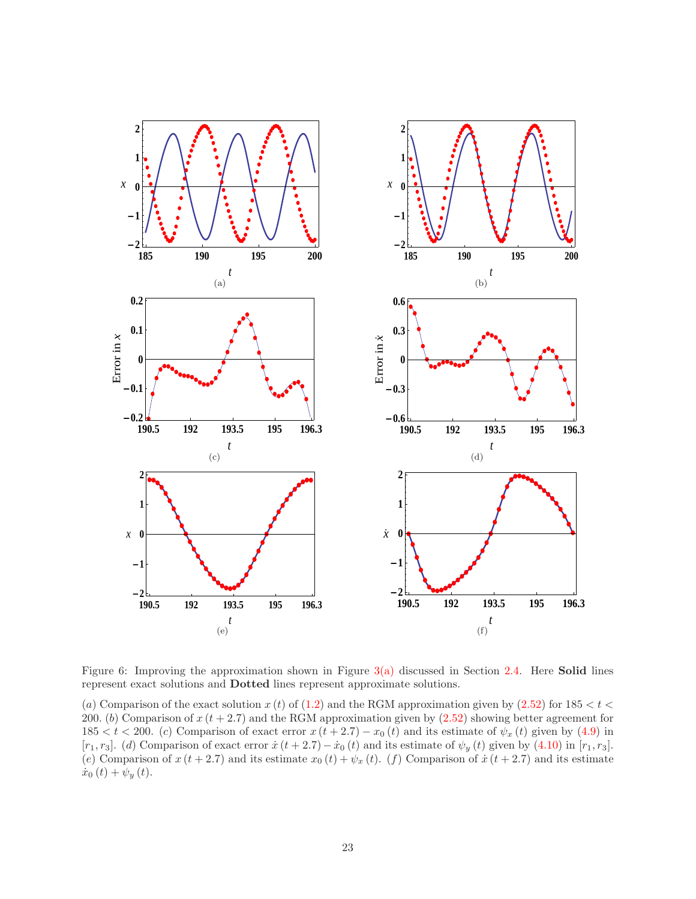

<span id="page-22-0"></span>Figure 6: Improving the approximation shown in Figure  $3(a)$  discussed in Section [2.4.](#page-11-0) Here **Solid** lines represent exact solutions and Dotted lines represent approximate solutions.

(a) Comparison of the exact solution  $x(t)$  of [\(1.2\)](#page-1-0) and the RGM approximation given by [\(2.52\)](#page-12-5) for 185 <  $t$  < 200. (b) Comparison of  $x(t + 2.7)$  and the RGM approximation given by  $(2.52)$  showing better agreement for 185 < t < 200. (c) Comparison of exact error  $x(t+2.7) - x_0(t)$  and its estimate of  $\psi_x(t)$  given by [\(4.9\)](#page-20-2) in [ $r_1, r_3$ ]. (d) Comparison of exact error  $\dot{x}$  (t + 2.7) –  $\dot{x}_0$  (t) and its estimate of  $\psi_y$  (t) given by [\(4.10\)](#page-21-2) in [ $r_1, r_3$ ]. (e) Comparison of  $x(t + 2.7)$  and its estimate  $x_0(t) + \psi_x(t)$ . (f) Comparison of  $\dot{x}(t + 2.7)$  and its estimate  $\dot{x}_0(t) + \psi_y(t)$ .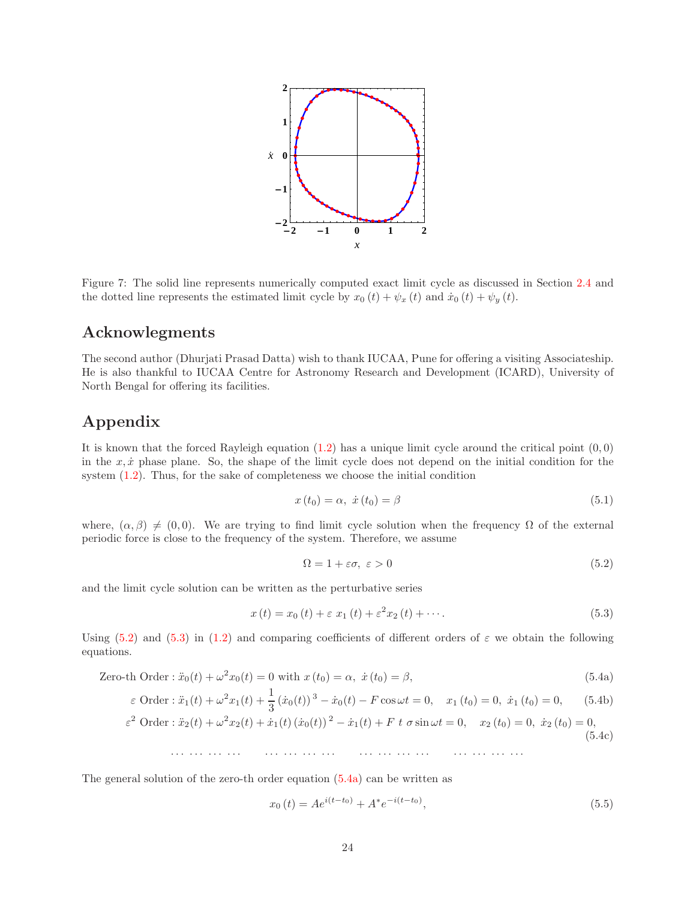

<span id="page-23-0"></span>Figure 7: The solid line represents numerically computed exact limit cycle as discussed in Section [2.4](#page-11-0) and the dotted line represents the estimated limit cycle by  $x_0(t) + \psi_x(t)$  and  $\dot{x}_0(t) + \psi_y(t)$ .

# Acknowlegments

The second author (Dhurjati Prasad Datta) wish to thank IUCAA, Pune for offering a visiting Associateship. He is also thankful to IUCAA Centre for Astronomy Research and Development (ICARD), University of North Bengal for offering its facilities.

# Appendix

It is known that the forced Rayleigh equation  $(1.2)$  has a unique limit cycle around the critical point  $(0,0)$ in the  $x, \dot{x}$  phase plane. So, the shape of the limit cycle does not depend on the initial condition for the system [\(1.2\)](#page-1-0). Thus, for the sake of completeness we choose the initial condition

$$
x(t_0) = \alpha, \ \dot{x}(t_0) = \beta \tag{5.1}
$$

where,  $(\alpha, \beta) \neq (0, 0)$ . We are trying to find limit cycle solution when the frequency  $\Omega$  of the external periodic force is close to the frequency of the system. Therefore, we assume

<span id="page-23-4"></span><span id="page-23-3"></span><span id="page-23-1"></span>
$$
\Omega = 1 + \varepsilon \sigma, \ \varepsilon > 0 \tag{5.2}
$$

and the limit cycle solution can be written as the perturbative series

<span id="page-23-2"></span>
$$
x(t) = x_0(t) + \varepsilon x_1(t) + \varepsilon^2 x_2(t) + \cdots.
$$
 (5.3)

Using [\(5.2\)](#page-23-1) and [\(5.3\)](#page-23-2) in [\(1.2\)](#page-1-0) and comparing coefficients of different orders of  $\varepsilon$  we obtain the following equations.

Zero-th Order : 
$$
\ddot{x}_0(t) + \omega^2 x_0(t) = 0
$$
 with  $x(t_0) = \alpha$ ,  $\dot{x}(t_0) = \beta$ ,  $(5.4a)$ 

$$
\varepsilon \text{ Order}: \ddot{x}_1(t) + \omega^2 x_1(t) + \frac{1}{3} (\dot{x}_0(t))^3 - \dot{x}_0(t) - F \cos \omega t = 0, \quad x_1(t_0) = 0, \quad \dot{x}_1(t_0) = 0, \tag{5.4b}
$$

$$
\varepsilon^2 \text{ Order}: \ddot{x}_2(t) + \omega^2 x_2(t) + \dot{x}_1(t) \left( \dot{x}_0(t) \right)^2 - \dot{x}_1(t) + F \ t \ \sigma \sin \omega t = 0, \quad x_2(t_0) = 0, \ \dot{x}_2(t_0) = 0, \tag{5.4c}
$$

· · · · · · · · · · · · · · · · · · · · · · · · · · · · · · · · · · · · · · · · · · · · · · · ·

The general solution of the zero-th order equation [\(5.4a\)](#page-23-3) can be written as

$$
x_0(t) = Ae^{i(t-t_0)} + A^*e^{-i(t-t_0)},
$$
\n(5.5)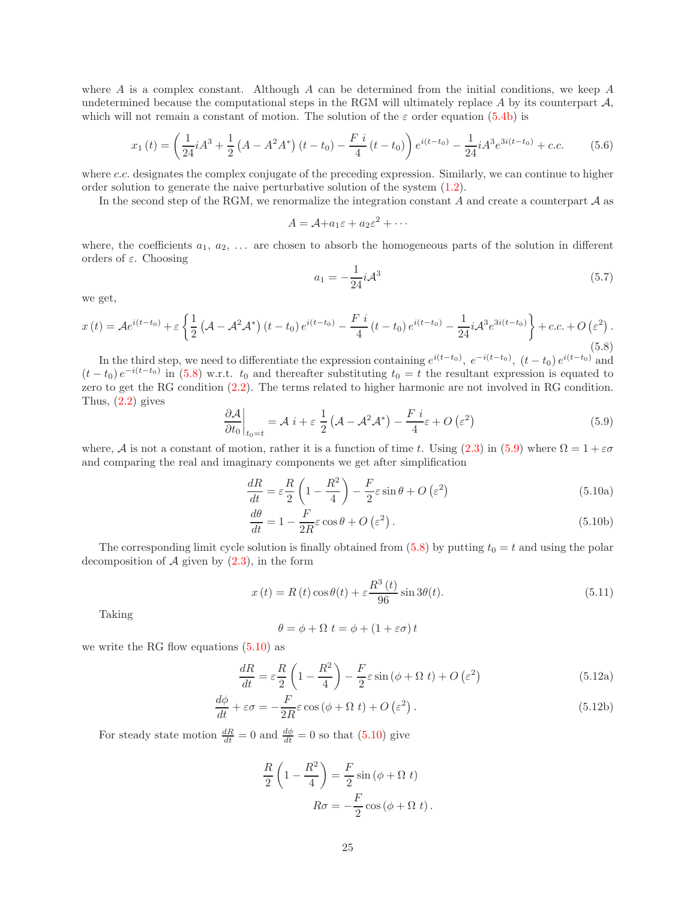where A is a complex constant. Although A can be determined from the initial conditions, we keep A undetermined because the computational steps in the RGM will ultimately replace  $A$  by its counterpart  $A$ , which will not remain a constant of motion. The solution of the  $\varepsilon$  order equation [\(5.4b\)](#page-23-4) is

$$
x_1(t) = \left(\frac{1}{24}iA^3 + \frac{1}{2}\left(A - A^2A^*\right)(t - t_0) - \frac{F i}{4}(t - t_0)\right)e^{i(t - t_0)} - \frac{1}{24}iA^3e^{3i(t - t_0)} + c.c.
$$
 (5.6)

where c.c. designates the complex conjugate of the preceding expression. Similarly, we can continue to higher order solution to generate the naive perturbative solution of the system [\(1.2\)](#page-1-0).

In the second step of the RGM, we renormalize the integration constant A and create a counterpart  $A$  as

$$
A = \mathcal{A} + a_1 \varepsilon + a_2 \varepsilon^2 + \cdots
$$

where, the coefficients  $a_1, a_2, \ldots$  are chosen to absorb the homogeneous parts of the solution in different orders of  $\varepsilon$ . Choosing

$$
a_1 = -\frac{1}{24}i\mathcal{A}^3 \tag{5.7}
$$

we get,

<span id="page-24-0"></span>
$$
x(t) = Ae^{i(t-t_0)} + \varepsilon \left\{ \frac{1}{2} \left( \mathcal{A} - \mathcal{A}^2 \mathcal{A}^* \right) (t-t_0) e^{i(t-t_0)} - \frac{F i}{4} (t-t_0) e^{i(t-t_0)} - \frac{1}{24} i \mathcal{A}^3 e^{3i(t-t_0)} \right\} + c.c. + O\left(\varepsilon^2\right).
$$
\n(5.8)

In the third step, we need to differentiate the expression containing  $e^{i(t-t_0)}$ ,  $e^{-i(t-t_0)}$ ,  $(t-t_0) e^{i(t-t_0)}$  and  $(t-t_0) e^{-i(t-t_0)}$  in [\(5.8\)](#page-24-0) w.r.t.  $t_0$  and thereafter substituting  $t_0 = t$  the resultant expression is equated to zero to get the RG condition [\(2.2\)](#page-4-5). The terms related to higher harmonic are not involved in RG condition. Thus,  $(2.2)$  gives

<span id="page-24-1"></span>
$$
\left. \frac{\partial \mathcal{A}}{\partial t_0} \right|_{t_0 = t} = \mathcal{A} \, i + \varepsilon \, \frac{1}{2} \left( \mathcal{A} - \mathcal{A}^2 \mathcal{A}^* \right) - \frac{F \, i}{4} \varepsilon + O \left( \varepsilon^2 \right) \tag{5.9}
$$

where, A is not a constant of motion, rather it is a function of time t. Using [\(2.3\)](#page-4-6) in [\(5.9\)](#page-24-1) where  $\Omega = 1 + \varepsilon \sigma$ and comparing the real and imaginary components we get after simplification

$$
\frac{dR}{dt} = \varepsilon \frac{R}{2} \left( 1 - \frac{R^2}{4} \right) - \frac{F}{2} \varepsilon \sin \theta + O\left(\varepsilon^2\right) \tag{5.10a}
$$

<span id="page-24-2"></span>
$$
\frac{d\theta}{dt} = 1 - \frac{F}{2R}\varepsilon\cos\theta + O\left(\varepsilon^2\right). \tag{5.10b}
$$

The corresponding limit cycle solution is finally obtained from  $(5.8)$  by putting  $t_0 = t$  and using the polar decomposition of  $A$  given by  $(2.3)$ , in the form

<span id="page-24-3"></span>
$$
x(t) = R(t)\cos\theta(t) + \varepsilon \frac{R^3(t)}{96}\sin 3\theta(t).
$$
\n(5.11)

Taking

$$
\theta = \phi + \Omega \ t = \phi + (1 + \varepsilon \sigma) \ t
$$

we write the RG flow equations [\(5.10\)](#page-24-2) as

$$
\frac{dR}{dt} = \varepsilon \frac{R}{2} \left( 1 - \frac{R^2}{4} \right) - \frac{F}{2} \varepsilon \sin \left( \phi + \Omega t \right) + O\left(\varepsilon^2\right) \tag{5.12a}
$$

$$
\frac{d\phi}{dt} + \varepsilon \sigma = -\frac{F}{2R} \varepsilon \cos(\phi + \Omega t) + O\left(\varepsilon^2\right). \tag{5.12b}
$$

For steady state motion  $\frac{dR}{dt} = 0$  and  $\frac{d\phi}{dt} = 0$  so that [\(5.10\)](#page-24-2) give

$$
\frac{R}{2}\left(1-\frac{R^2}{4}\right) = \frac{F}{2}\sin(\phi + \Omega t)
$$

$$
R\sigma = -\frac{F}{2}\cos(\phi + \Omega t).
$$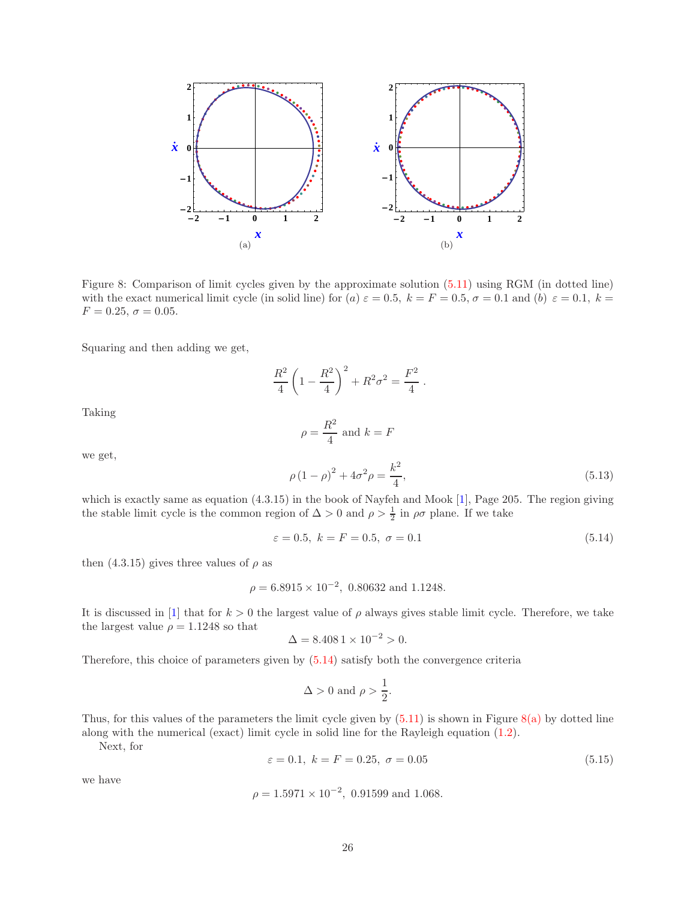

<span id="page-25-2"></span>Figure 8: Comparison of limit cycles given by the approximate solution [\(5.11\)](#page-24-3) using RGM (in dotted line) with the exact numerical limit cycle (in solid line) for (a)  $\varepsilon = 0.5$ ,  $k = F = 0.5$ ,  $\sigma = 0.1$  and (b)  $\varepsilon = 0.1$ ,  $k =$  $F = 0.25, \sigma = 0.05.$ 

Squaring and then adding we get,

<span id="page-25-4"></span>
$$
\frac{R^2}{4}\left(1-\frac{R^2}{4}\right)^2 + R^2\sigma^2 = \frac{F^2}{4}.
$$

Taking

$$
\rho = \frac{R^2}{4}
$$
 and  $k = F$ 

we get,

<span id="page-25-0"></span>
$$
\rho (1 - \rho)^2 + 4\sigma^2 \rho = \frac{k^2}{4},\tag{5.13}
$$

which is exactly same as equation (4.3.15) in the book of Nayfeh and Mook [\[1\]](#page-26-0), Page 205. The region giving the stable limit cycle is the common region of  $\Delta > 0$  and  $\rho > \frac{1}{2}$  in  $\rho \sigma$  plane. If we take

<span id="page-25-1"></span>
$$
\varepsilon = 0.5, \ k = F = 0.5, \ \sigma = 0.1 \tag{5.14}
$$

then (4.3.15) gives three values of  $\rho$  as

$$
\rho = 6.8915 \times 10^{-2}
$$
, 0.80632 and 1.1248.

It is discussed in [\[1\]](#page-26-0) that for  $k > 0$  the largest value of  $\rho$  always gives stable limit cycle. Therefore, we take the largest value  $\rho = 1.1248$  so that

$$
\Delta = 8.4081 \times 10^{-2} > 0.
$$

Therefore, this choice of parameters given by [\(5.14\)](#page-25-1) satisfy both the convergence criteria

$$
\Delta > 0 \text{ and } \rho > \frac{1}{2}.
$$

Thus, for this values of the parameters the limit cycle given by  $(5.11)$  is shown in Figure [8\(a\)](#page-25-2) by dotted line along with the numerical (exact) limit cycle in solid line for the Rayleigh equation [\(1.2\)](#page-1-0).

Next, for

<span id="page-25-3"></span>
$$
\varepsilon = 0.1, \ k = F = 0.25, \ \sigma = 0.05 \tag{5.15}
$$

we have

$$
\rho = 1.5971 \times 10^{-2}
$$
, 0.91599 and 1.068.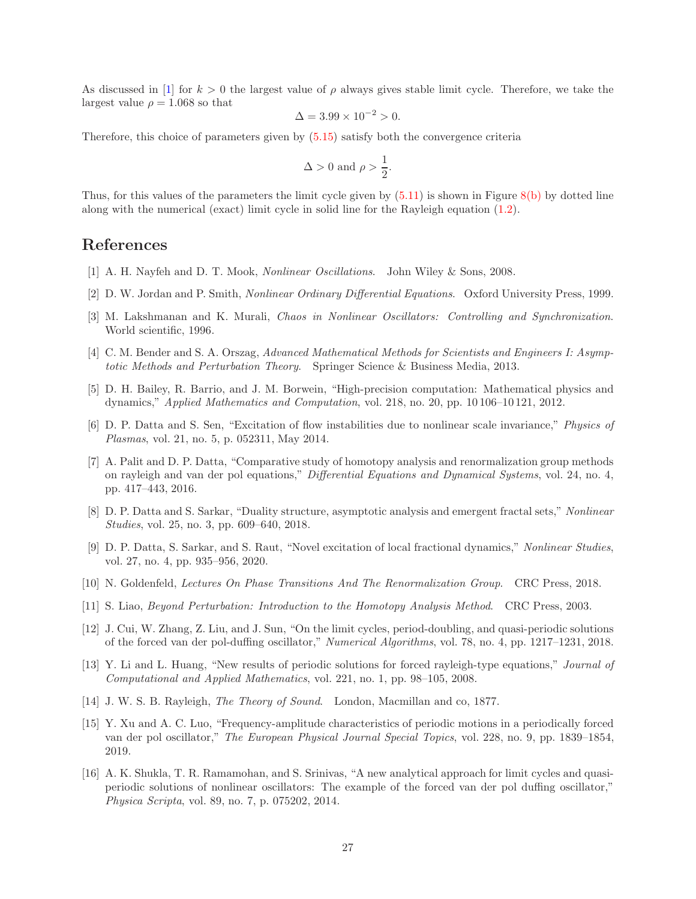As discussed in [\[1\]](#page-26-0) for  $k > 0$  the largest value of  $\rho$  always gives stable limit cycle. Therefore, we take the largest value  $\rho = 1.068$  so that

$$
\Delta = 3.99 \times 10^{-2} > 0.
$$

Therefore, this choice of parameters given by [\(5.15\)](#page-25-3) satisfy both the convergence criteria

$$
\Delta > 0 \text{ and } \rho > \frac{1}{2}.
$$

Thus, for this values of the parameters the limit cycle given by  $(5.11)$  is shown in Figure [8\(b\)](#page-25-4) by dotted line along with the numerical (exact) limit cycle in solid line for the Rayleigh equation [\(1.2\)](#page-1-0).

# <span id="page-26-0"></span>References

- <span id="page-26-9"></span>[1] A. H. Nayfeh and D. T. Mook, Nonlinear Oscillations. John Wiley & Sons, 2008.
- <span id="page-26-14"></span>[2] D. W. Jordan and P. Smith, Nonlinear Ordinary Differential Equations. Oxford University Press, 1999.
- <span id="page-26-1"></span>[3] M. Lakshmanan and K. Murali, Chaos in Nonlinear Oscillators: Controlling and Synchronization. World scientific, 1996.
- <span id="page-26-2"></span>[4] C. M. Bender and S. A. Orszag, Advanced Mathematical Methods for Scientists and Engineers I: Asymptotic Methods and Perturbation Theory. Springer Science & Business Media, 2013.
- [5] D. H. Bailey, R. Barrio, and J. M. Borwein, "High-precision computation: Mathematical physics and dynamics," Applied Mathematics and Computation, vol. 218, no. 20, pp. 10 106–10 121, 2012.
- <span id="page-26-3"></span>[6] D. P. Datta and S. Sen, "Excitation of flow instabilities due to nonlinear scale invariance," Physics of Plasmas, vol. 21, no. 5, p. 052311, May 2014.
- <span id="page-26-8"></span>[7] A. Palit and D. P. Datta, "Comparative study of homotopy analysis and renormalization group methods on rayleigh and van der pol equations," Differential Equations and Dynamical Systems, vol. 24, no. 4, pp. 417–443, 2016.
- <span id="page-26-15"></span>[8] D. P. Datta and S. Sarkar, "Duality structure, asymptotic analysis and emergent fractal sets," Nonlinear Studies, vol. 25, no. 3, pp. 609–640, 2018.
- <span id="page-26-4"></span>[9] D. P. Datta, S. Sarkar, and S. Raut, "Novel excitation of local fractional dynamics," Nonlinear Studies, vol. 27, no. 4, pp. 935–956, 2020.
- <span id="page-26-6"></span><span id="page-26-5"></span>[10] N. Goldenfeld, Lectures On Phase Transitions And The Renormalization Group. CRC Press, 2018.
- <span id="page-26-7"></span>[11] S. Liao, Beyond Perturbation: Introduction to the Homotopy Analysis Method. CRC Press, 2003.
- [12] J. Cui, W. Zhang, Z. Liu, and J. Sun, "On the limit cycles, period-doubling, and quasi-periodic solutions of the forced van der pol-duffing oscillator," Numerical Algorithms, vol. 78, no. 4, pp. 1217–1231, 2018.
- <span id="page-26-10"></span>[13] Y. Li and L. Huang, "New results of periodic solutions for forced rayleigh-type equations," Journal of Computational and Applied Mathematics, vol. 221, no. 1, pp. 98–105, 2008.
- <span id="page-26-12"></span><span id="page-26-11"></span>[14] J. W. S. B. Rayleigh, The Theory of Sound. London, Macmillan and co, 1877.
- [15] Y. Xu and A. C. Luo, "Frequency-amplitude characteristics of periodic motions in a periodically forced van der pol oscillator," The European Physical Journal Special Topics, vol. 228, no. 9, pp. 1839–1854, 2019.
- <span id="page-26-13"></span>[16] A. K. Shukla, T. R. Ramamohan, and S. Srinivas, "A new analytical approach for limit cycles and quasiperiodic solutions of nonlinear oscillators: The example of the forced van der pol duffing oscillator," Physica Scripta, vol. 89, no. 7, p. 075202, 2014.